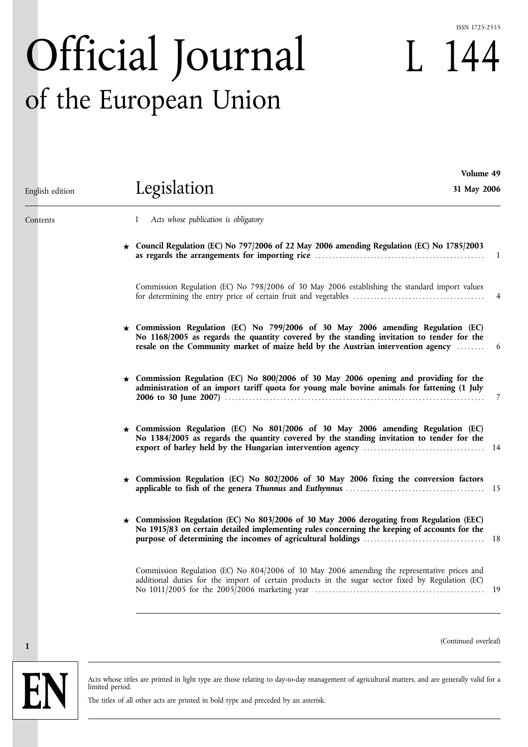#### ISSN 1725-2555

**Volume 49**

L 144

# Official Journal of the European Union

| English edition | Legislation                                                                                                                                                                                                                                                             | 31 May 2006          |
|-----------------|-------------------------------------------------------------------------------------------------------------------------------------------------------------------------------------------------------------------------------------------------------------------------|----------------------|
| Contents        | Acts whose publication is obligatory<br>$\mathbf{I}$                                                                                                                                                                                                                    |                      |
|                 | ★ Council Regulation (EC) No 797/2006 of 22 May 2006 amending Regulation (EC) No 1785/2003                                                                                                                                                                              | -1                   |
|                 | Commission Regulation (EC) No 798/2006 of 30 May 2006 establishing the standard import values                                                                                                                                                                           | 4                    |
|                 | $\star$ Commission Regulation (EC) No 799/2006 of 30 May 2006 amending Regulation (EC)<br>No 1168/2005 as regards the quantity covered by the standing invitation to tender for the<br>resale on the Community market of maize held by the Austrian intervention agency | 6                    |
|                 | $\star$ Commission Regulation (EC) No 800/2006 of 30 May 2006 opening and providing for the<br>administration of an import tariff quota for young male bovine animals for fattening (1 July                                                                             | 7                    |
|                 | $\star$ Commission Regulation (EC) No 801/2006 of 30 May 2006 amending Regulation (EC)<br>No 1384/2005 as regards the quantity covered by the standing invitation to tender for the                                                                                     |                      |
|                 | ★ Commission Regulation (EC) No 802/2006 of 30 May 2006 fixing the conversion factors                                                                                                                                                                                   |                      |
|                 | $\star$ Commission Regulation (EC) No 803/2006 of 30 May 2006 derogating from Regulation (EEC)<br>No 1915/83 on certain detailed implementing rules concerning the keeping of accounts for the                                                                          |                      |
|                 | Commission Regulation (EC) No 804/2006 of 30 May 2006 amending the representative prices and<br>additional duties for the import of certain products in the sugar sector fixed by Regulation (EC)                                                                       |                      |
|                 |                                                                                                                                                                                                                                                                         | (Continued overleaf) |

Acts whose titles are printed in light type are those relating to day-to-day management of agricultural matters, and are generally valid for a limited period.

The titles of all other acts are printed in bold type and preceded by an asterisk.

 $\mathbf{E}$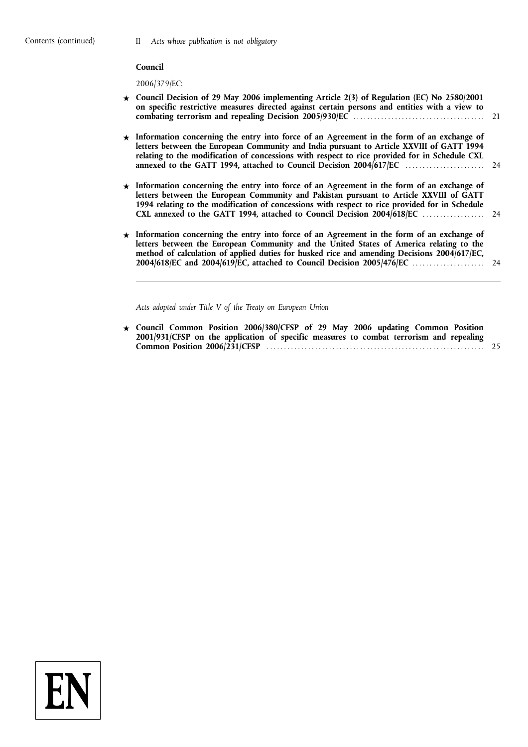**E** 

# **Council**

2006/379/EC:

| $\star$ Council Decision of 29 May 2006 implementing Article 2(3) of Regulation (EC) No 2580/2001<br>on specific restrictive measures directed against certain persons and entities with a view to                                                                                             |  |
|------------------------------------------------------------------------------------------------------------------------------------------------------------------------------------------------------------------------------------------------------------------------------------------------|--|
| $\star$ Information concerning the entry into force of an Agreement in the form of an exchange of<br>letters between the European Community and India pursuant to Article XXVIII of GATT 1994<br>relating to the modification of concessions with respect to rice provided for in Schedule CXL |  |
| $\star$ Information concerning the entry into force of an Agreement in the form of an exchange of<br>letters between the European Community and Pakistan pursuant to Article XXVIII of GATT<br>1994 relating to the modification of concessions with respect to rice provided for in Schedule  |  |
| $\star$ Information concerning the entry into force of an Agreement in the form of an exchange of<br>letters between the European Community and the United States of America relating to the<br>method of calculation of applied duties for husked rice and amending Decisions 2004/617/EC,    |  |
|                                                                                                                                                                                                                                                                                                |  |

*Acts adopted under Title V of the Treaty on European Union*

**★ Council Common Position 2006/380/CFSP of 29 May 2006 updating Common Position 2001/931/CFSP on the application of specific measures to combat terrorism and repealing Common Position 2006/231/CFSP** ............................................................... 25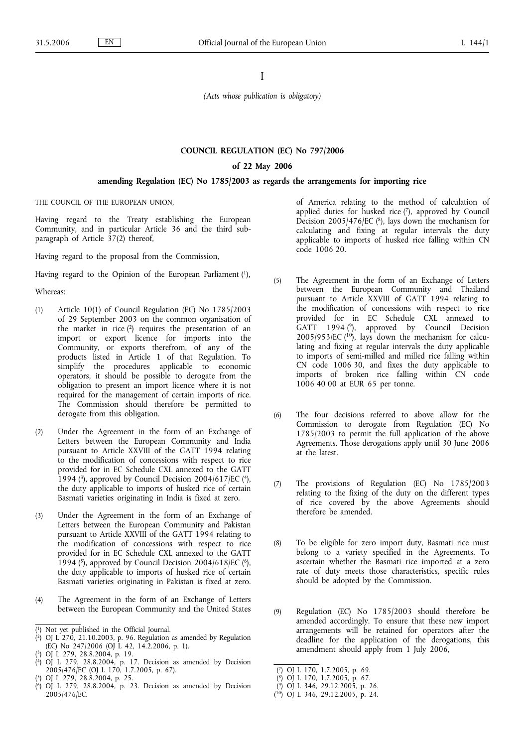I

*(Acts whose publication is obligatory)*

# **COUNCIL REGULATION (EC) No 797/2006**

#### **of 22 May 2006**

#### **amending Regulation (EC) No 1785/2003 as regards the arrangements for importing rice**

THE COUNCIL OF THE EUROPEAN UNION,

Having regard to the Treaty establishing the European Community, and in particular Article 36 and the third subparagraph of Article  $37(2)$  thereof,

Having regard to the proposal from the Commission,

Having regard to the Opinion of the European Parliament (1),

#### Whereas:

- (1) Article 10(1) of Council Regulation (EC) No 1785/2003 of 29 September 2003 on the common organisation of the market in rice  $(2)$  requires the presentation of an import or export licence for imports into the Community, or exports therefrom, of any of the products listed in Article 1 of that Regulation. To simplify the procedures applicable to economic operators, it should be possible to derogate from the obligation to present an import licence where it is not required for the management of certain imports of rice. The Commission should therefore be permitted to derogate from this obligation.
- (2) Under the Agreement in the form of an Exchange of Letters between the European Community and India pursuant to Article XXVIII of the GATT 1994 relating to the modification of concessions with respect to rice provided for in EC Schedule CXL annexed to the GATT 1994 (3), approved by Council Decision 2004/617/EC (4), the duty applicable to imports of husked rice of certain Basmati varieties originating in India is fixed at zero.
- (3) Under the Agreement in the form of an Exchange of Letters between the European Community and Pakistan pursuant to Article XXVIII of the GATT 1994 relating to the modification of concessions with respect to rice provided for in EC Schedule CXL annexed to the GATT 1994 (5), approved by Council Decision 2004/618/EC (6), the duty applicable to imports of husked rice of certain Basmati varieties originating in Pakistan is fixed at zero.
- (4) The Agreement in the form of an Exchange of Letters between the European Community and the United States
- ( 1) Not yet published in the Official Journal.

- ( 3) OJ L 279, 28.8.2004, p. 19.
- ( 4) OJ L 279, 28.8.2004, p. 17. Decision as amended by Decision 2005/476/EC (OJ L 170, 1.7.2005, p. 67). ( 5) OJ L 279, 28.8.2004, p. 25.
- $(6)$ 6) OJ L 279, 28.8.2004, p. 23. Decision as amended by Decision 2005/476/EC.

of America relating to the method of calculation of applied duties for husked rice (7), approved by Council Decision  $2005/476$ /EC (<sup>8</sup>), lays down the mechanism for calculating and fixing at regular intervals the duty applicable to imports of husked rice falling within CN code 1006 20.

- (5) The Agreement in the form of an Exchange of Letters between the European Community and Thailand pursuant to Article XXVIII of GATT 1994 relating to the modification of concessions with respect to rice provided for in EC Schedule CXL annexed to GATT 1994 ( $\degree$ ), approved by Council Decision  $2005/953/EC$  ( $^{10}$ ), lays down the mechanism for calculating and fixing at regular intervals the duty applicable to imports of semi-milled and milled rice falling within CN code 1006 30, and fixes the duty applicable to imports of broken rice falling within CN code 1006 40 00 at EUR 65 per tonne.
- (6) The four decisions referred to above allow for the Commission to derogate from Regulation (EC) No 1785/2003 to permit the full application of the above Agreements. Those derogations apply until 30 June 2006 at the latest.
- (7) The provisions of Regulation (EC) No 1785/2003 relating to the fixing of the duty on the different types of rice covered by the above Agreements should therefore be amended.
- (8) To be eligible for zero import duty, Basmati rice must belong to a variety specified in the Agreements. To ascertain whether the Basmati rice imported at a zero rate of duty meets those characteristics, specific rules should be adopted by the Commission.
- (9) Regulation (EC) No 1785/2003 should therefore be amended accordingly. To ensure that these new import arrangements will be retained for operators after the deadline for the application of the derogations, this amendment should apply from 1 July 2006,

<sup>(</sup> 2) OJ L 270, 21.10.2003, p. 96. Regulation as amended by Regulation (EC) No 247/2006 (OJ L 42, 14.2.2006, p. 1).

<sup>(</sup> 7) OJ L 170, 1.7.2005, p. 69.

<sup>(</sup> 8) OJ L 170, 1.7.2005, p. 67.

<sup>(</sup> 9) OJ L 346, 29.12.2005, p. 26.

<sup>(</sup> 10) OJ L 346, 29.12.2005, p. 24.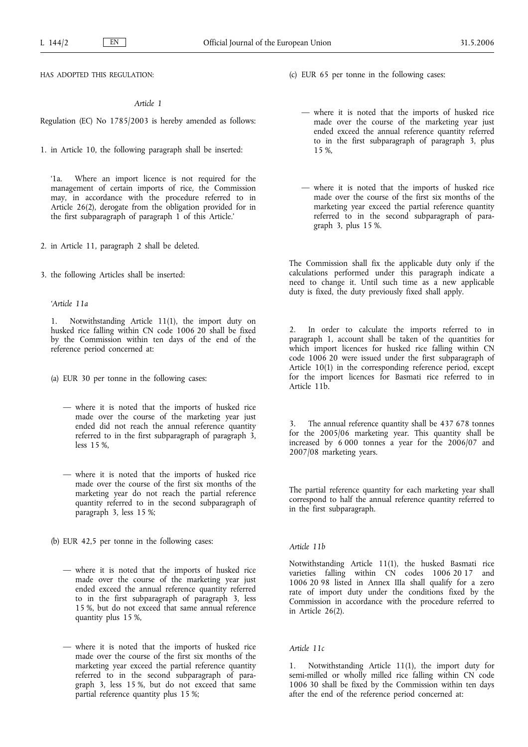HAS ADOPTED THIS REGULATION:

## *Article 1*

Regulation (EC) No 1785/2003 is hereby amended as follows:

1. in Article 10, the following paragraph shall be inserted:

'1a. Where an import licence is not required for the management of certain imports of rice, the Commission may, in accordance with the procedure referred to in Article 26(2), derogate from the obligation provided for in the first subparagraph of paragraph 1 of this Article.'

2. in Article 11, paragraph 2 shall be deleted.

3. the following Articles shall be inserted:

#### *'Article 11a*

1. Notwithstanding Article 11(1), the import duty on husked rice falling within CN code 1006 20 shall be fixed by the Commission within ten days of the end of the reference period concerned at:

(a) EUR 30 per tonne in the following cases:

- where it is noted that the imports of husked rice made over the course of the marketing year just ended did not reach the annual reference quantity referred to in the first subparagraph of paragraph 3, less 15 %,
- where it is noted that the imports of husked rice made over the course of the first six months of the marketing year do not reach the partial reference quantity referred to in the second subparagraph of paragraph 3, less 15 %;

(b) EUR 42,5 per tonne in the following cases:

- where it is noted that the imports of husked rice made over the course of the marketing year just ended exceed the annual reference quantity referred to in the first subparagraph of paragraph 3, less 15 %, but do not exceed that same annual reference quantity plus 15 %,
- where it is noted that the imports of husked rice made over the course of the first six months of the marketing year exceed the partial reference quantity referred to in the second subparagraph of paragraph 3, less 15 %, but do not exceed that same partial reference quantity plus 15 %;
- (c) EUR 65 per tonne in the following cases:
	- where it is noted that the imports of husked rice made over the course of the marketing year just ended exceed the annual reference quantity referred to in the first subparagraph of paragraph 3, plus 15 %,
	- where it is noted that the imports of husked rice made over the course of the first six months of the marketing year exceed the partial reference quantity referred to in the second subparagraph of paragraph 3, plus 15 %.

The Commission shall fix the applicable duty only if the calculations performed under this paragraph indicate a need to change it. Until such time as a new applicable duty is fixed, the duty previously fixed shall apply.

2. In order to calculate the imports referred to in paragraph 1, account shall be taken of the quantities for which import licences for husked rice falling within CN code 1006 20 were issued under the first subparagraph of Article 10(1) in the corresponding reference period, except for the import licences for Basmati rice referred to in Article 11b.

3. The annual reference quantity shall be 437 678 tonnes for the 2005/06 marketing year. This quantity shall be increased by 6 000 tonnes a year for the 2006/07 and 2007/08 marketing years.

The partial reference quantity for each marketing year shall correspond to half the annual reference quantity referred to in the first subparagraph.

# *Article 11b*

Notwithstanding Article 11(1), the husked Basmati rice varieties falling within CN codes 1006 20 17 and 1006 20 98 listed in Annex IIIa shall qualify for a zero rate of import duty under the conditions fixed by the Commission in accordance with the procedure referred to in Article 26(2).

# *Article 11c*

1. Notwithstanding Article 11(1), the import duty for semi-milled or wholly milled rice falling within CN code 1006 30 shall be fixed by the Commission within ten days after the end of the reference period concerned at: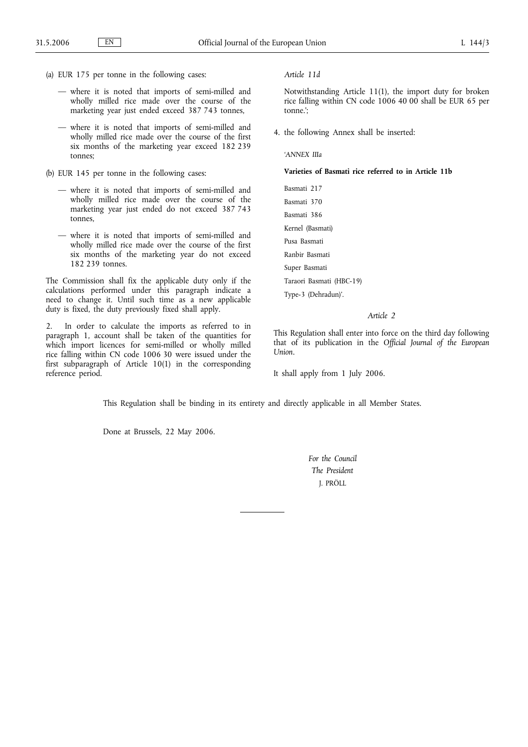- (a) EUR 175 per tonne in the following cases:
	- where it is noted that imports of semi-milled and wholly milled rice made over the course of the marketing year just ended exceed 387 743 tonnes,
	- where it is noted that imports of semi-milled and wholly milled rice made over the course of the first six months of the marketing year exceed 182 239 tonnes;
- (b) EUR 145 per tonne in the following cases:
	- where it is noted that imports of semi-milled and wholly milled rice made over the course of the marketing year just ended do not exceed 387 743 tonnes,
	- where it is noted that imports of semi-milled and wholly milled rice made over the course of the first six months of the marketing year do not exceed 182 239 tonnes.

The Commission shall fix the applicable duty only if the calculations performed under this paragraph indicate a need to change it. Until such time as a new applicable duty is fixed, the duty previously fixed shall apply.

2. In order to calculate the imports as referred to in paragraph 1, account shall be taken of the quantities for which import licences for semi-milled or wholly milled rice falling within CN code 1006 30 were issued under the first subparagraph of Article 10(1) in the corresponding reference period.

*Article 11d*

Notwithstanding Article 11(1), the import duty for broken rice falling within CN code 1006 40 00 shall be EUR 65 per tonne.';

4. the following Annex shall be inserted:

*'ANNEX IIIa*

**Varieties of Basmati rice referred to in Article 11b**

Basmati 217 Basmati 370 Basmati 386 Kernel (Basmati) Pusa Basmati Ranbir Basmati Super Basmati Taraori Basmati (HBC-19) Type-3 (Dehradun)'.

## *Article 2*

This Regulation shall enter into force on the third day following that of its publication in the *Official Journal of the European Union*.

It shall apply from 1 July 2006.

This Regulation shall be binding in its entirety and directly applicable in all Member States.

Done at Brussels, 22 May 2006.

*For the Council The President* J. PRÖLL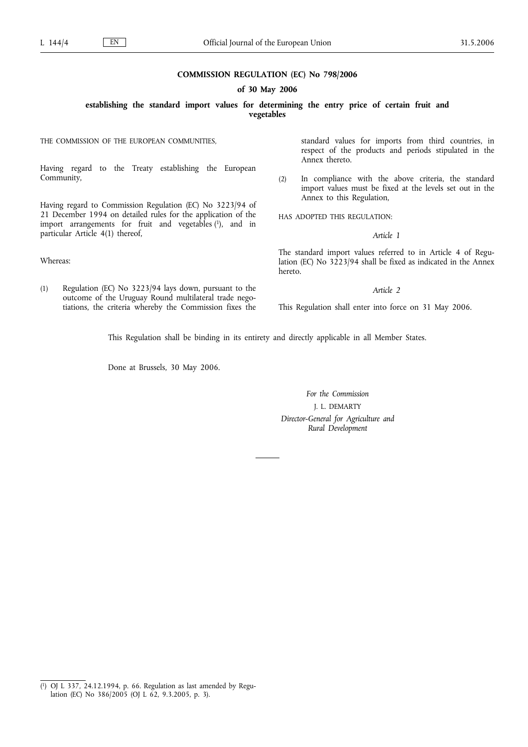#### **COMMISSION REGULATION (EC) No 798/2006**

## **of 30 May 2006**

**establishing the standard import values for determining the entry price of certain fruit and vegetables**

THE COMMISSION OF THE EUROPEAN COMMUNITIES,

Having regard to the Treaty establishing the European Community,

Having regard to Commission Regulation (EC) No 3223/94 of 21 December 1994 on detailed rules for the application of the import arrangements for fruit and vegetables  $(1)$ , and in particular Article 4(1) thereof,

(1) Regulation (EC) No 3223/94 lays down, pursuant to the outcome of the Uruguay Round multilateral trade negotiations, the criteria whereby the Commission fixes the

Whereas:

standard values for imports from third countries, in respect of the products and periods stipulated in the Annex thereto.

(2) In compliance with the above criteria, the standard import values must be fixed at the levels set out in the Annex to this Regulation,

HAS ADOPTED THIS REGULATION:

#### *Article 1*

The standard import values referred to in Article 4 of Regulation (EC) No 3223/94 shall be fixed as indicated in the Annex hereto.

*Article 2*

This Regulation shall enter into force on 31 May 2006.

This Regulation shall be binding in its entirety and directly applicable in all Member States.

Done at Brussels, 30 May 2006.

*For the Commission* J. L. DEMARTY

*Director-General for Agriculture and Rural Development*

 $(1)$ 1) OJ L 337, 24.12.1994, p. 66. Regulation as last amended by Regulation (EC) No 386/2005 (OJ L 62, 9.3.2005, p. 3).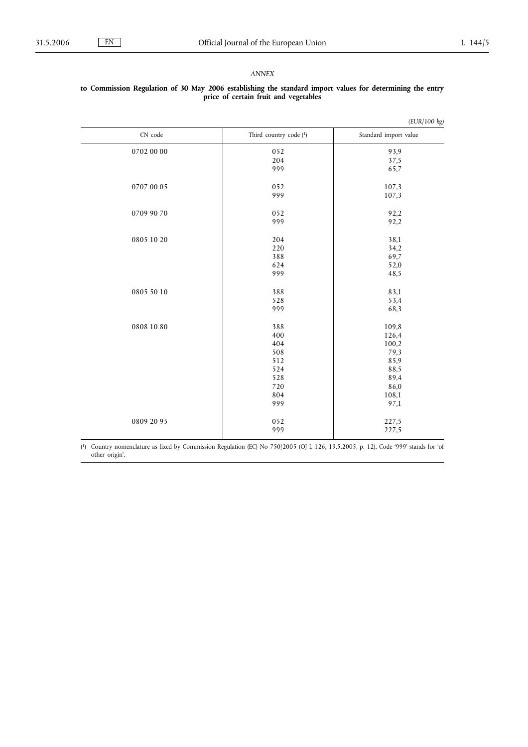# *(EUR/100 kg)* CN code Third country code (1) Standard import value  $0702\ 00\ 00$   $052$   $204$   $37,5$ 204 37,5<br>999 65,7  $65,7$  $0707\ 00\ 05$   $052$   $107,3$   $107,3$   $107,3$  $107,3$  $0709\,90\,70$   $052$   $92,2$   $92,2$   $92,2$  $92,2$  $0805\ 10\ 20$   $204$   $38,1$   $34,2$ 220 34,2<br>388 69,7  $69,7$  $\begin{array}{c|c} 624 & 52,0 \\ 999 & 48,5 \end{array}$ 48,5  $0805\,50\,10$   $388$   $528$   $53,4$ 528 53,4<br>999 68,3 68,3 0808 10 80 388 109,8  $400$ <br> $404$ <br> $100,2$  $100,2$ 508 79,3<br>512 85,9 512 85,9<br>524 88,5 88,5 528 89,4<br>720 86,0  $\begin{array}{c|c}\n 720 & 86,0 \\
804 & 108.1\n\end{array}$  $\begin{array}{c|c}\n 804 & 108,1 \\
999 & 97,1\n \end{array}$ 97,1  $0809\ 20\ 95$   $052$   $227.5$   $999$   $227.5$ 227,5

# **to Commission Regulation of 30 May 2006 establishing the standard import values for determining the entry price of certain fruit and vegetables**

 $(1)$ 1) Country nomenclature as fixed by Commission Regulation (EC) No 750/2005 (OJ L 126, 19.5.2005, p. 12). Code '999' stands for 'of other origin'.

#### *ANNEX*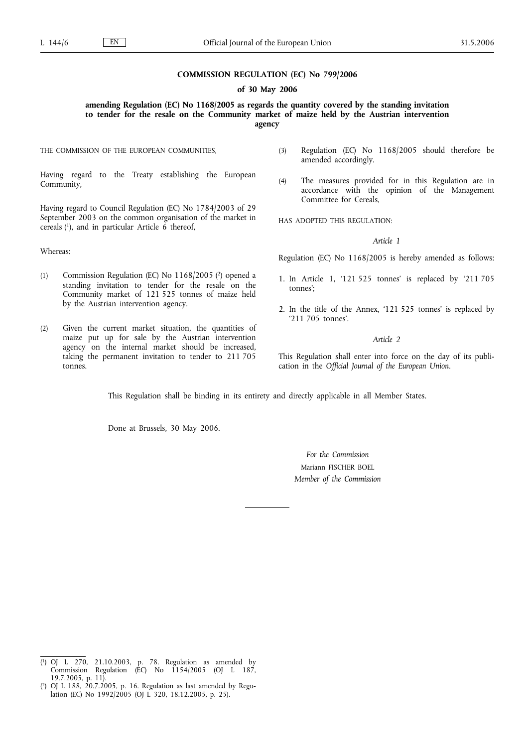#### **COMMISSION REGULATION (EC) No 799/2006**

#### **of 30 May 2006**

**amending Regulation (EC) No 1168/2005 as regards the quantity covered by the standing invitation to tender for the resale on the Community market of maize held by the Austrian intervention agency**

THE COMMISSION OF THE EUROPEAN COMMUNITIES,

Having regard to the Treaty establishing the European Community,

Having regard to Council Regulation (EC) No 1784/2003 of 29 September 2003 on the common organisation of the market in cereals  $(1)$ , and in particular Article  $\tilde{6}$  thereof,

Whereas:

- (1) Commission Regulation (EC) No 1168/2005 (2) opened a standing invitation to tender for the resale on the Community market of 121 525 tonnes of maize held by the Austrian intervention agency.
- (2) Given the current market situation, the quantities of maize put up for sale by the Austrian intervention agency on the internal market should be increased, taking the permanent invitation to tender to 211 705 tonnes.
- (3) Regulation (EC) No 1168/2005 should therefore be amended accordingly.
- (4) The measures provided for in this Regulation are in accordance with the opinion of the Management Committee for Cereals,

HAS ADOPTED THIS REGULATION:

#### *Article 1*

Regulation (EC) No 1168/2005 is hereby amended as follows:

- 1. In Article 1, '121 525 tonnes' is replaced by '211 705 tonnes';
- 2. In the title of the Annex, '121 525 tonnes' is replaced by '211 705 tonnes'.

#### *Article 2*

This Regulation shall enter into force on the day of its publication in the *Official Journal of the European Union*.

This Regulation shall be binding in its entirety and directly applicable in all Member States.

Done at Brussels, 30 May 2006.

*For the Commission* Mariann FISCHER BOEL *Member of the Commission*

<sup>(</sup> 1) OJ L 270, 21.10.2003, p. 78. Regulation as amended by Commission Regulation (EC) No 1154/2005 (OJ L 187, 19.7.2005, p. 11).

 $(2)$ OJ L 188,  $20.7.2005$ , p. 16. Regulation as last amended by Regulation (EC) No 1992/2005 (OJ L 320, 18.12.2005, p. 25).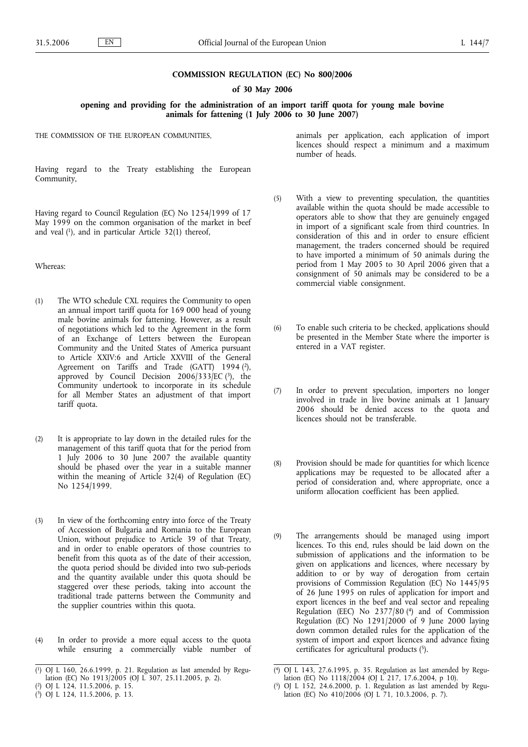#### **COMMISSION REGULATION (EC) No 800/2006**

#### **of 30 May 2006**

**opening and providing for the administration of an import tariff quota for young male bovine animals for fattening (1 July 2006 to 30 June 2007)**

THE COMMISSION OF THE EUROPEAN COMMUNITIES.

Having regard to the Treaty establishing the European Community,

Having regard to Council Regulation (EC) No 1254/1999 of 17 May 1999 on the common organisation of the market in beef and veal (1), and in particular Article 32(1) thereof,

## Whereas:

- (1) The WTO schedule CXL requires the Community to open an annual import tariff quota for 169 000 head of young male bovine animals for fattening. However, as a result of negotiations which led to the Agreement in the form of an Exchange of Letters between the European Community and the United States of America pursuant to Article XXIV:6 and Article XXVIII of the General Agreement on Tariffs and Trade (GATT) 1994 (2), approved by Council Decision  $2006/333/EC$  (3), the Community undertook to incorporate in its schedule for all Member States an adjustment of that import tariff quota.
- (2) It is appropriate to lay down in the detailed rules for the management of this tariff quota that for the period from 1 July 2006 to 30 June 2007 the available quantity should be phased over the year in a suitable manner within the meaning of Article 32(4) of Regulation (EC) No 1254/1999.
- (3) In view of the forthcoming entry into force of the Treaty of Accession of Bulgaria and Romania to the European Union, without prejudice to Article 39 of that Treaty, and in order to enable operators of those countries to benefit from this quota as of the date of their accession, the quota period should be divided into two sub-periods and the quantity available under this quota should be staggered over these periods, taking into account the traditional trade patterns between the Community and the supplier countries within this quota.
- (4) In order to provide a more equal access to the quota while ensuring a commercially viable number of

- ( 2) OJ L 124, 11.5.2006, p. 15.
- ( 3) OJ L 124, 11.5.2006, p. 13.

animals per application, each application of import licences should respect a minimum and a maximum number of heads.

- (5) With a view to preventing speculation, the quantities available within the quota should be made accessible to operators able to show that they are genuinely engaged in import of a significant scale from third countries. In consideration of this and in order to ensure efficient management, the traders concerned should be required to have imported a minimum of 50 animals during the period from 1 May 2005 to 30 April 2006 given that a consignment of 50 animals may be considered to be a commercial viable consignment.
- (6) To enable such criteria to be checked, applications should be presented in the Member State where the importer is entered in a VAT register.
- (7) In order to prevent speculation, importers no longer involved in trade in live bovine animals at 1 January 2006 should be denied access to the quota and licences should not be transferable.
- (8) Provision should be made for quantities for which licence applications may be requested to be allocated after a period of consideration and, where appropriate, once a uniform allocation coefficient has been applied.
- (9) The arrangements should be managed using import licences. To this end, rules should be laid down on the submission of applications and the information to be given on applications and licences, where necessary by addition to or by way of derogation from certain provisions of Commission Regulation (EC) No 1445/95 of 26 June 1995 on rules of application for import and export licences in the beef and veal sector and repealing Regulation (EEC) No 2377/80 (4) and of Commission Regulation (EC) No 1291/2000 of 9 June 2000 laying down common detailed rules for the application of the system of import and export licences and advance fixing certificates for agricultural products (5).

<sup>(</sup> 1) OJ L 160, 26.6.1999, p. 21. Regulation as last amended by Regu-

lation (EC) No  $1913/2005$  (OJ L 307, 25.11.2005, p. 2).

<sup>(</sup> 4) OJ L 143, 27.6.1995, p. 35. Regulation as last amended by Regu-

lation (EC) No 1118/2004 (OJ L 217, 17.6.2004, p 10).

<sup>(</sup> 5) OJ L 152, 24.6.2000, p. 1. Regulation as last amended by Regulation (EC) No 410/2006 (OJ L 71, 10.3.2006, p. 7).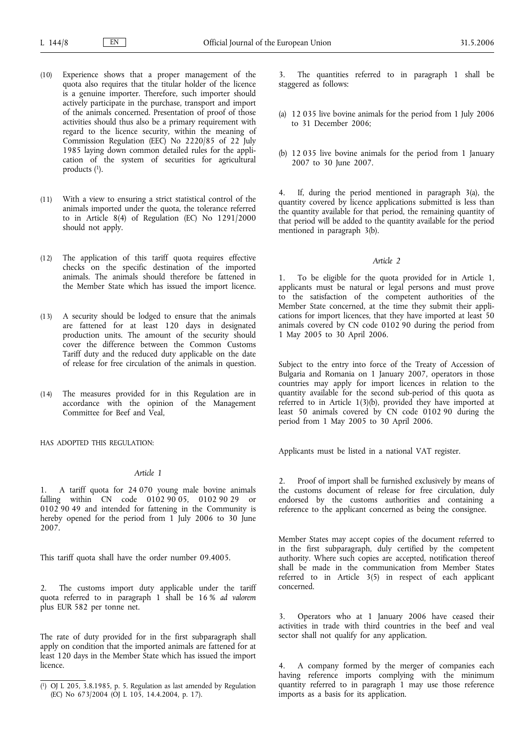- (10) Experience shows that a proper management of the quota also requires that the titular holder of the licence is a genuine importer. Therefore, such importer should actively participate in the purchase, transport and import of the animals concerned. Presentation of proof of those activities should thus also be a primary requirement with regard to the licence security, within the meaning of Commission Regulation (EEC) No 2220/85 of 22 July 1985 laying down common detailed rules for the application of the system of securities for agricultural products  $(1)$ .
- (11) With a view to ensuring a strict statistical control of the animals imported under the quota, the tolerance referred to in Article 8(4) of Regulation (EC) No 1291/2000 should not apply.
- (12) The application of this tariff quota requires effective checks on the specific destination of the imported animals. The animals should therefore be fattened in the Member State which has issued the import licence.
- (13) A security should be lodged to ensure that the animals are fattened for at least 120 days in designated production units. The amount of the security should cover the difference between the Common Customs Tariff duty and the reduced duty applicable on the date of release for free circulation of the animals in question.
- (14) The measures provided for in this Regulation are in accordance with the opinion of the Management Committee for Beef and Veal,

HAS ADOPTED THIS REGULATION:

#### *Article 1*

1. A tariff quota for 24 070 young male bovine animals falling within CN code 0102 90 05, 0102 90 29 or 0102 90 49 and intended for fattening in the Community is hereby opened for the period from  $1$  July 2006 to 30 June 2007.

This tariff quota shall have the order number 09.4005.

2. The customs import duty applicable under the tariff quota referred to in paragraph 1 shall be 16 % *ad valorem* plus EUR 582 per tonne net.

The rate of duty provided for in the first subparagraph shall apply on condition that the imported animals are fattened for at least 120 days in the Member State which has issued the import licence.

The quantities referred to in paragraph 1 shall be staggered as follows:

- (a) 12 035 live bovine animals for the period from 1 July 2006 to 31 December 2006;
- (b) 12 035 live bovine animals for the period from 1 January 2007 to 30 June 2007.

If, during the period mentioned in paragraph  $3(a)$ , the quantity covered by licence applications submitted is less than the quantity available for that period, the remaining quantity of that period will be added to the quantity available for the period mentioned in paragraph 3(b).

#### *Article 2*

1. To be eligible for the quota provided for in Article 1, applicants must be natural or legal persons and must prove to the satisfaction of the competent authorities of the Member State concerned, at the time they submit their applications for import licences, that they have imported at least 50 animals covered by CN code 0102 90 during the period from 1 May 2005 to 30 April 2006.

Subject to the entry into force of the Treaty of Accession of Bulgaria and Romania on 1 January 2007, operators in those countries may apply for import licences in relation to the quantity available for the second sub-period of this quota as referred to in Article 1(3)(b), provided they have imported at least 50 animals covered by CN code 0102 90 during the period from 1 May 2005 to 30 April 2006.

Applicants must be listed in a national VAT register.

2. Proof of import shall be furnished exclusively by means of the customs document of release for free circulation, duly endorsed by the customs authorities and containing a reference to the applicant concerned as being the consignee.

Member States may accept copies of the document referred to in the first subparagraph, duly certified by the competent authority. Where such copies are accepted, notification thereof shall be made in the communication from Member States referred to in Article 3(5) in respect of each applicant concerned.

3. Operators who at 1 January 2006 have ceased their activities in trade with third countries in the beef and veal sector shall not qualify for any application.

4. A company formed by the merger of companies each having reference imports complying with the minimum quantity referred to in paragraph 1 may use those reference imports as a basis for its application.

<sup>(</sup> 1) OJ L 205, 3.8.1985, p. 5. Regulation as last amended by Regulation (EC) No 673/2004 (OJ L 105, 14.4.2004, p. 17).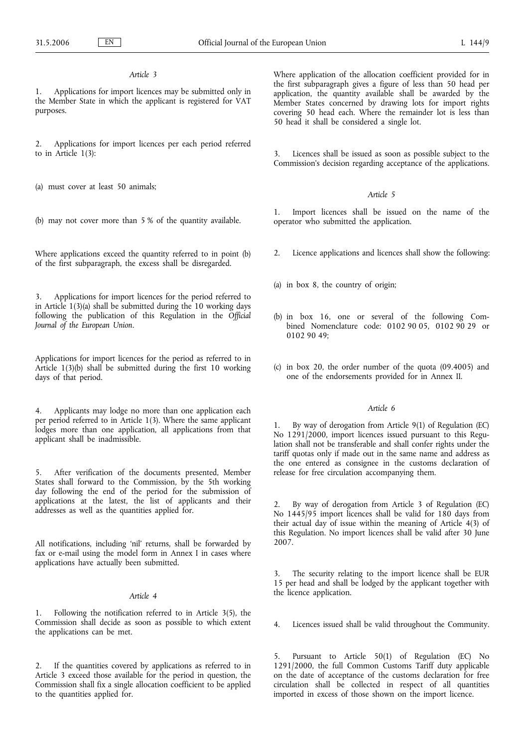## *Article 3*

1. Applications for import licences may be submitted only in the Member State in which the applicant is registered for VAT purposes.

2. Applications for import licences per each period referred to in Article 1(3):

- (a) must cover at least 50 animals;
- (b) may not cover more than 5 % of the quantity available.

Where applications exceed the quantity referred to in point (b) of the first subparagraph, the excess shall be disregarded.

3. Applications for import licences for the period referred to in Article 1(3)(a) shall be submitted during the 10 working days following the publication of this Regulation in the *Official Journal of the European Union*.

Applications for import licences for the period as referred to in Article 1(3)(b) shall be submitted during the first 10 working days of that period.

Applicants may lodge no more than one application each per period referred to in Article 1(3). Where the same applicant lodges more than one application, all applications from that applicant shall be inadmissible.

5. After verification of the documents presented, Member States shall forward to the Commission, by the 5th working day following the end of the period for the submission of applications at the latest, the list of applicants and their addresses as well as the quantities applied for.

All notifications, including 'nil' returns, shall be forwarded by fax or e-mail using the model form in Annex I in cases where applications have actually been submitted.

#### *Article 4*

1. Following the notification referred to in Article 3(5), the Commission shall decide as soon as possible to which extent the applications can be met.

2. If the quantities covered by applications as referred to in Article 3 exceed those available for the period in question, the Commission shall fix a single allocation coefficient to be applied to the quantities applied for.

Where application of the allocation coefficient provided for in the first subparagraph gives a figure of less than 50 head per application, the quantity available shall be awarded by the Member States concerned by drawing lots for import rights covering 50 head each. Where the remainder lot is less than 50 head it shall be considered a single lot.

Licences shall be issued as soon as possible subject to the Commission's decision regarding acceptance of the applications.

#### *Article 5*

1. Import licences shall be issued on the name of the operator who submitted the application.

- 2. Licence applications and licences shall show the following:
- (a) in box 8, the country of origin;
- (b) in box 16, one or several of the following Combined Nomenclature code: 0102 90 05, 0102 90 29 or 0102 90 49;
- (c) in box 20, the order number of the quota (09.4005) and one of the endorsements provided for in Annex II.

# *Article 6*

1. By way of derogation from Article 9(1) of Regulation (EC) No 1291/2000, import licences issued pursuant to this Regulation shall not be transferable and shall confer rights under the tariff quotas only if made out in the same name and address as the one entered as consignee in the customs declaration of release for free circulation accompanying them.

2. By way of derogation from Article 3 of Regulation (EC) No 1445/95 import licences shall be valid for 180 days from their actual day of issue within the meaning of Article 4(3) of this Regulation. No import licences shall be valid after 30 June 2007.

3. The security relating to the import licence shall be EUR 15 per head and shall be lodged by the applicant together with the licence application.

4. Licences issued shall be valid throughout the Community.

Pursuant to Article 50(1) of Regulation (EC) No 1291/2000, the full Common Customs Tariff duty applicable on the date of acceptance of the customs declaration for free circulation shall be collected in respect of all quantities imported in excess of those shown on the import licence.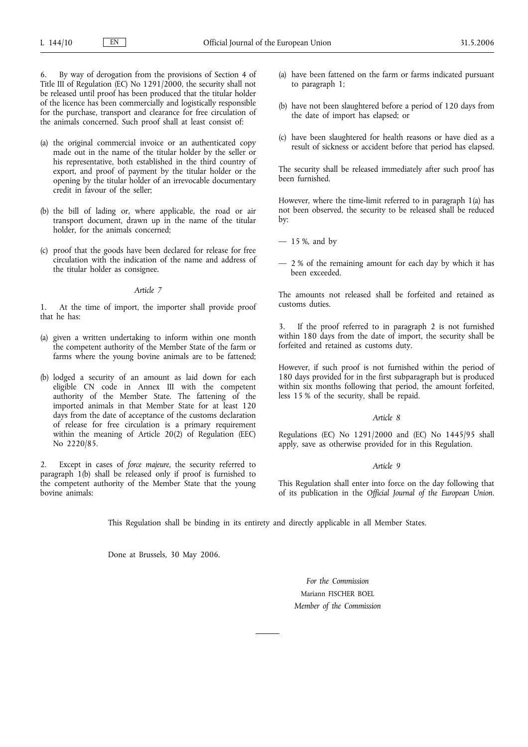6. By way of derogation from the provisions of Section 4 of Title III of Regulation (EC) No 1291/2000, the security shall not be released until proof has been produced that the titular holder of the licence has been commercially and logistically responsible for the purchase, transport and clearance for free circulation of the animals concerned. Such proof shall at least consist of:

- (a) the original commercial invoice or an authenticated copy made out in the name of the titular holder by the seller or his representative, both established in the third country of export, and proof of payment by the titular holder or the opening by the titular holder of an irrevocable documentary credit in favour of the seller;
- (b) the bill of lading or, where applicable, the road or air transport document, drawn up in the name of the titular holder, for the animals concerned;
- (c) proof that the goods have been declared for release for free circulation with the indication of the name and address of the titular holder as consignee.

#### *Article 7*

At the time of import, the importer shall provide proof that he has:

- (a) given a written undertaking to inform within one month the competent authority of the Member State of the farm or farms where the young bovine animals are to be fattened;
- (b) lodged a security of an amount as laid down for each eligible CN code in Annex III with the competent authority of the Member State. The fattening of the imported animals in that Member State for at least 120 days from the date of acceptance of the customs declaration of release for free circulation is a primary requirement within the meaning of Article 20(2) of Regulation (EEC) No 2220/85.

2. Except in cases of *force majeure*, the security referred to paragraph 1(b) shall be released only if proof is furnished to the competent authority of the Member State that the young bovine animals:

- (a) have been fattened on the farm or farms indicated pursuant to paragraph 1;
- (b) have not been slaughtered before a period of 120 days from the date of import has elapsed; or
- (c) have been slaughtered for health reasons or have died as a result of sickness or accident before that period has elapsed.

The security shall be released immediately after such proof has been furnished.

However, where the time-limit referred to in paragraph 1(a) has not been observed, the security to be released shall be reduced by:

- 15 %, and by
- 2 % of the remaining amount for each day by which it has been exceeded.

The amounts not released shall be forfeited and retained as customs duties.

3. If the proof referred to in paragraph 2 is not furnished within 180 days from the date of import, the security shall be forfeited and retained as customs duty.

However, if such proof is not furnished within the period of 180 days provided for in the first subparagraph but is produced within six months following that period, the amount forfeited, less 15 % of the security, shall be repaid.

#### *Article 8*

Regulations (EC) No 1291/2000 and (EC) No 1445/95 shall apply, save as otherwise provided for in this Regulation.

#### *Article 9*

This Regulation shall enter into force on the day following that of its publication in the *Official Journal of the European Union*.

This Regulation shall be binding in its entirety and directly applicable in all Member States.

Done at Brussels, 30 May 2006.

*For the Commission* Mariann FISCHER BOEL *Member of the Commission*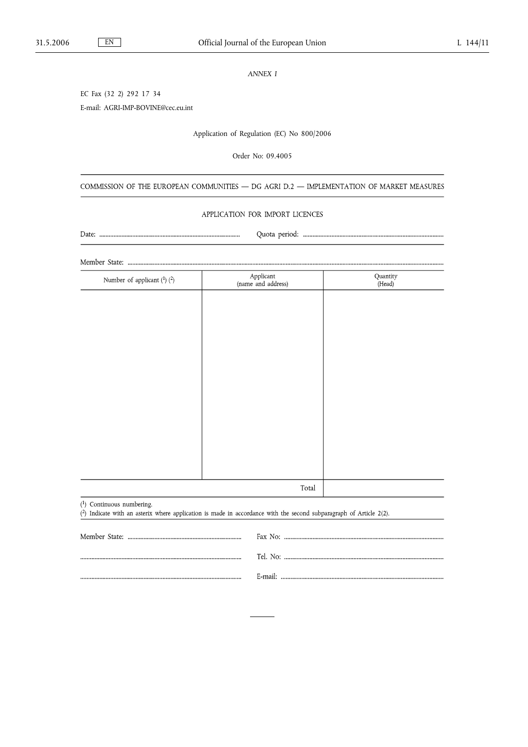# *ANNEX I*

EC Fax (32 2) 292 17 34

E-mail: AGRI-IMP-BOVINE@cec.eu.int

# Application of Regulation (EC) No 800/2006

### Order No: 09.4005

COMMISSION OF THE EUROPEAN COMMUNITIES — DG AGRI D.2 — IMPLEMENTATION OF MARKET MEASURES

#### APPLICATION FOR IMPORT LICENCES

| Number of applicant $(1)$ $(2)$                                                                                                                   | Applicant<br>(name and address) | Quantity<br>(Head) |
|---------------------------------------------------------------------------------------------------------------------------------------------------|---------------------------------|--------------------|
|                                                                                                                                                   |                                 |                    |
|                                                                                                                                                   |                                 |                    |
|                                                                                                                                                   |                                 |                    |
|                                                                                                                                                   |                                 |                    |
|                                                                                                                                                   |                                 |                    |
|                                                                                                                                                   |                                 |                    |
|                                                                                                                                                   |                                 |                    |
|                                                                                                                                                   |                                 |                    |
|                                                                                                                                                   |                                 |                    |
|                                                                                                                                                   |                                 |                    |
|                                                                                                                                                   |                                 |                    |
|                                                                                                                                                   | Total                           |                    |
| $(1)$ Continuous numbering.<br>(2) Indicate with an asterix where application is made in accordance with the second subparagraph of Article 2(2). |                                 |                    |
|                                                                                                                                                   |                                 |                    |
|                                                                                                                                                   |                                 |                    |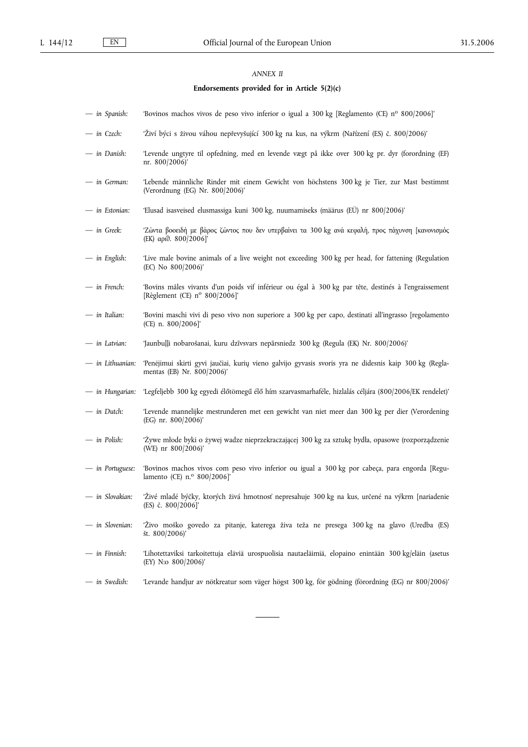# *ANNEX II*

# **Endorsements provided for in Article 5(2)(c)**

| - in Spanish:     | 'Bovinos machos vivos de peso vivo inferior o igual a 300 kg [Reglamento (CE) nº 800/2006]'                                                    |
|-------------------|------------------------------------------------------------------------------------------------------------------------------------------------|
| $-$ in Czech:     | 'Živí býci s živou váhou nepřevyšující 300 kg na kus, na výkrm (Nařízení (ES) č. 800/2006)'                                                    |
| - in Danish:      | 'Levende ungtyre til opfedning, med en levende vægt på ikke over 300 kg pr. dyr (forordning (EF)<br>nr. 800/2006)'                             |
| — in German:      | 'Lebende männliche Rinder mit einem Gewicht von höchstens 300 kg je Tier, zur Mast bestimmt<br>(Verordnung (EG) Nr. 800/2006)'                 |
| — in Estonian:    | 'Elusad isasveised elusmassiga kuni 300 kg, nuumamiseks (määrus (EÜ) nr 800/2006)'                                                             |
| $-$ in Greek:     | 'Ζώντα βοοειδή με βάρος ζώντος που δεν υπερβαίνει τα 300 kg ανά κεφαλή, προς πάχυνση [κανονισμός<br>(EK) αριθ. 800/2006]'                      |
| $-$ in English:   | 'Live male bovine animals of a live weight not exceeding 300 kg per head, for fattening (Regulation<br>(EC) No 800/2006)'                      |
| $-$ in French:    | 'Bovins mâles vivants d'un poids vif inférieur ou égal à 300 kg par tête, destinés à l'engraissement<br>[Règlement (CE) $n^{\circ}$ 800/2006]' |
| — in Italian:     | 'Bovini maschi vivi di peso vivo non superiore a 300 kg per capo, destinati all'ingrasso [regolamento<br>(CE) n. 800/2006]'                    |
| — in Latvian:     | 'Jaunbuļļi nobarošanai, kuru dzīvsvars nepārsniedz 300 kg (Regula (EK) Nr. 800/2006)'                                                          |
| — in Lithuanian:  | 'Penėjimui skirti gyvi jaučiai, kurių vieno galvijo gyvasis svoris yra ne didesnis kaip 300 kg (Regla-<br>mentas (EB) Nr. 800/2006)'           |
| - in Hungarian:   | 'Legfeljebb 300 kg egyedi élőtömegű élő hím szarvasmarhaféle, hizlalás céljára (800/2006/EK rendelet)'                                         |
| $-$ in Dutch:     | 'Levende mannelijke mestrunderen met een gewicht van niet meer dan 300 kg per dier (Verordening<br>(EG) nr. 800/2006)'                         |
| - in Polish:      | 'Żywe młode byki o żywej wadze nieprzekraczającej 300 kg za sztukę bydła, opasowe (rozporządzenie<br>(WE) nr 800/2006)'                        |
| - in Portuguese:  | 'Bovinos machos vivos com peso vivo inferior ou igual a 300 kg por cabeça, para engorda [Regu-<br>lamento (CE) n.º 800/2006]'                  |
| — in Slovakian:   | 'Živé mladé býčky, ktorých živá hmotnosť nepresahuje 300 kg na kus, určené na výkrm [nariadenie<br>(ES) č. 800/2006]'                          |
| $-$ in Slovenian: | 'Živo moško govedo za pitanje, katerega živa teža ne presega 300 kg na glavo (Uredba (ES)<br>$\text{ }$ it. 800/2006)'                         |
| $-$ in Finnish:   | Lihotettaviksi tarkoitettuja eläviä urospuolisia nautaeläimiä, elopaino enintään 300 kg/eläin (asetus<br>(EY) N:o 800/2006)'                   |
| - in Swedish:     | 'Levande handjur av nötkreatur som väger högst 300 kg, för gödning (förordning (EG) nr 800/2006)'                                              |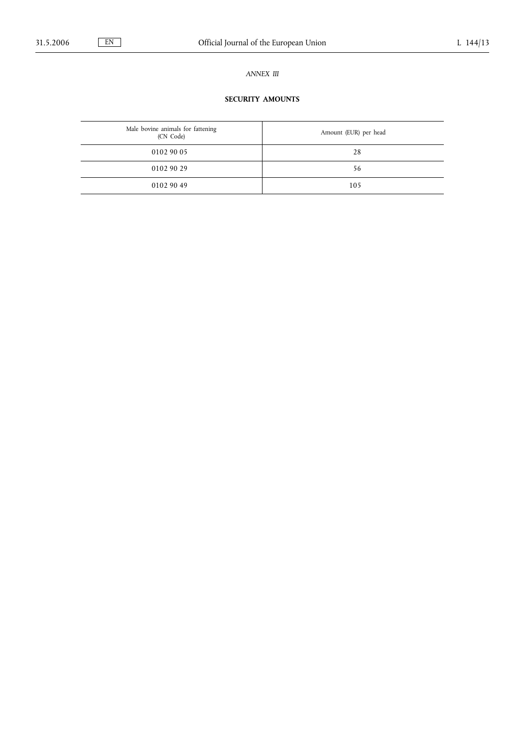# *ANNEX III*

# **SECURITY AMOUNTS**

| Male bovine animals for fattening<br>(CN Code) | Amount (EUR) per head |
|------------------------------------------------|-----------------------|
| 0102 90 05                                     | 28                    |
| 0102 90 29                                     | 56                    |
| 0102 90 49                                     | 105                   |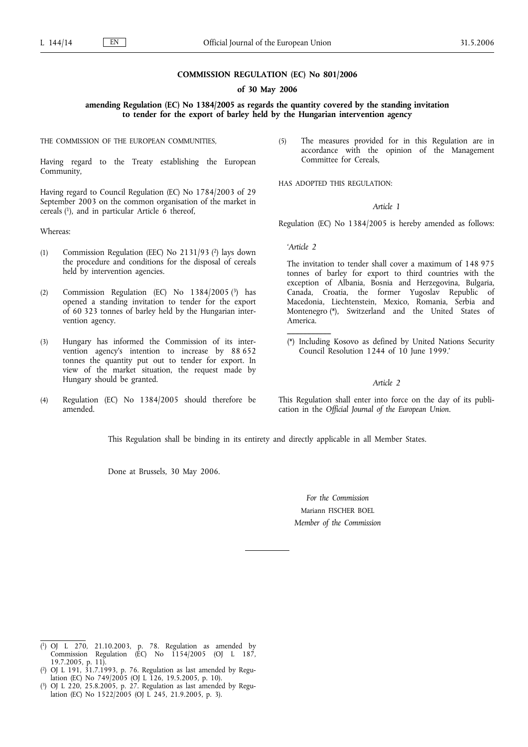#### **COMMISSION REGULATION (EC) No 801/2006**

## **of 30 May 2006**

**amending Regulation (EC) No 1384/2005 as regards the quantity covered by the standing invitation to tender for the export of barley held by the Hungarian intervention agency**

THE COMMISSION OF THE EUROPEAN COMMUNITIES,

Having regard to the Treaty establishing the European Community,

Having regard to Council Regulation (EC) No 1784/2003 of 29 September 2003 on the common organisation of the market in cereals (1), and in particular Article 6 thereof,

Whereas:

- (1) Commission Regulation (EEC) No 2131/93 (2) lays down the procedure and conditions for the disposal of cereals held by intervention agencies.
- (2) Commission Regulation (EC) No 1384/2005 (3) has opened a standing invitation to tender for the export of 60 323 tonnes of barley held by the Hungarian intervention agency.
- (3) Hungary has informed the Commission of its intervention agency's intention to increase by 88 652 tonnes the quantity put out to tender for export. In view of the market situation, the request made by Hungary should be granted.
- (4) Regulation (EC) No 1384/2005 should therefore be amended.

(5) The measures provided for in this Regulation are in accordance with the opinion of the Management Committee for Cereals,

HAS ADOPTED THIS REGULATION:

#### *Article 1*

Regulation (EC) No 1384/2005 is hereby amended as follows:

# *'Article 2*

**\_\_\_\_\_\_\_\_\_\_\_**

The invitation to tender shall cover a maximum of 148 975 tonnes of barley for export to third countries with the exception of Albania, Bosnia and Herzegovina, Bulgaria, Canada, Croatia, the former Yugoslav Republic of Macedonia, Liechtenstein, Mexico, Romania, Serbia and Montenegro (\*), Switzerland and the United States of America.

(\*) Including Kosovo as defined by United Nations Security Council Resolution 1244 of 10 June 1999.'

# *Article 2*

This Regulation shall enter into force on the day of its publication in the *Official Journal of the European Union*.

This Regulation shall be binding in its entirety and directly applicable in all Member States.

Done at Brussels, 30 May 2006.

*For the Commission* Mariann FISCHER BOEL *Member of the Commission*

( 1) OJ L 270, 21.10.2003, p. 78. Regulation as amended by Commission Regulation  $(EC)$  No  $1154/2005$  (OJ L  $187$ , 19.7.2005, p. 11).

( 2) OJ L 191, 31.7.1993, p. 76. Regulation as last amended by Regulation (EC) No 749/2005 (OJ L 126, 19.5.2005, p. 10).

 $(3)$ 3) OJ L 220, 25.8.2005, p. 27. Regulation as last amended by Regulation (EC) No  $1522/2005$  (OJ L 245, 21.9.2005, p. 3).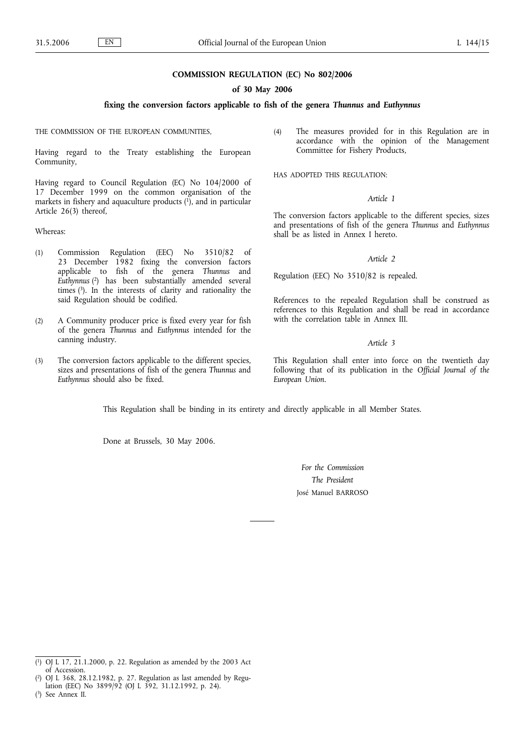## **COMMISSION REGULATION (EC) No 802/2006**

## **of 30 May 2006**

# **fixing the conversion factors applicable to fish of the genera** *Thunnus* **and** *Euthynnus*

THE COMMISSION OF THE EUROPEAN COMMUNITIES,

Having regard to the Treaty establishing the European Community,

Having regard to Council Regulation (EC) No 104/2000 of 17 December 1999 on the common organisation of the markets in fishery and aquaculture products  $(1)$ , and in particular Article 26(3) thereof,

Whereas:

- (1) Commission Regulation (EEC) No 3510/82 of 23 December 1982 fixing the conversion factors applicable to fish of the genera *Thunnus* and *Euthynnus* ( 2) has been substantially amended several times  $(3)$ . In the interests of clarity and rationality the said Regulation should be codified.
- (2) A Community producer price is fixed every year for fish of the genera *Thunnus* and *Euthynnus* intended for the canning industry.
- (3) The conversion factors applicable to the different species, sizes and presentations of fish of the genera *Thunnus* and *Euthynnus* should also be fixed.

(4) The measures provided for in this Regulation are in accordance with the opinion of the Management Committee for Fishery Products,

HAS ADOPTED THIS REGULATION:

#### *Article 1*

The conversion factors applicable to the different species, sizes and presentations of fish of the genera *Thunnus* and *Euthynnus* shall be as listed in Annex I hereto.

#### *Article 2*

Regulation (EEC) No 3510/82 is repealed.

References to the repealed Regulation shall be construed as references to this Regulation and shall be read in accordance with the correlation table in Annex III.

#### *Article 3*

This Regulation shall enter into force on the twentieth day following that of its publication in the *Official Journal of the European Union*.

This Regulation shall be binding in its entirety and directly applicable in all Member States.

Done at Brussels, 30 May 2006.

*For the Commission The President* José Manuel BARROSO

<sup>(</sup> 1) OJ L 17, 21.1.2000, p. 22. Regulation as amended by the 2003 Act of Accession.

<sup>(</sup> 2) OJ L 368, 28.12.1982, p. 27. Regulation as last amended by Regu-

lation (EEC) No 3899/92 (OJ L 392, 31.12.1992, p. 24).

<sup>(</sup> 3) See Annex II.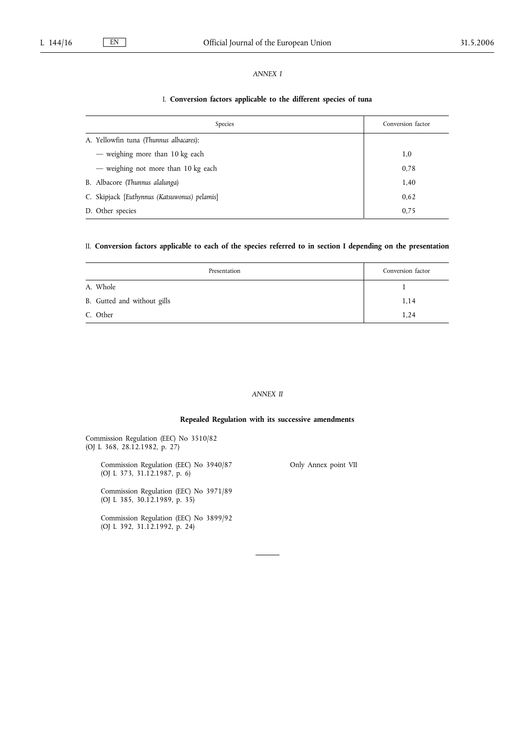# *ANNEX I*

# I. **Conversion factors applicable to the different species of tuna**

| Species                                      | Conversion factor |
|----------------------------------------------|-------------------|
| A. Yellowfin tuna (Thunnus albacares):       |                   |
| - weighing more than 10 kg each              | 1,0               |
| — weighing not more than 10 kg each          | 0.78              |
| B. Albacore (Thunnus alalunga)               | 1,40              |
| C. Skipjack [Euthynnus (Katsuwonus) pelamis] | 0.62              |
| D. Other species                             | 0.75              |

# II. **Conversion factors applicable to each of the species referred to in section I depending on the presentation**

| Presentation                | Conversion factor |
|-----------------------------|-------------------|
| A. Whole                    |                   |
| B. Gutted and without gills | 1,14              |
| C. Other                    | 1,24              |

# *ANNEX II*

# **Repealed Regulation with its successive amendments**

Commission Regulation (EEC) No 3510/82 (OJ L 368, 28.12.1982, p. 27)

> Commission Regulation (EEC) No 3940/87 (OJ L 373, 31.12.1987, p. 6)

Only Annex point VII

Commission Regulation (EEC) No 3971/89 (OJ L 385, 30.12.1989, p. 35)

Commission Regulation (EEC) No 3899/92 (OJ L 392, 31.12.1992, p. 24)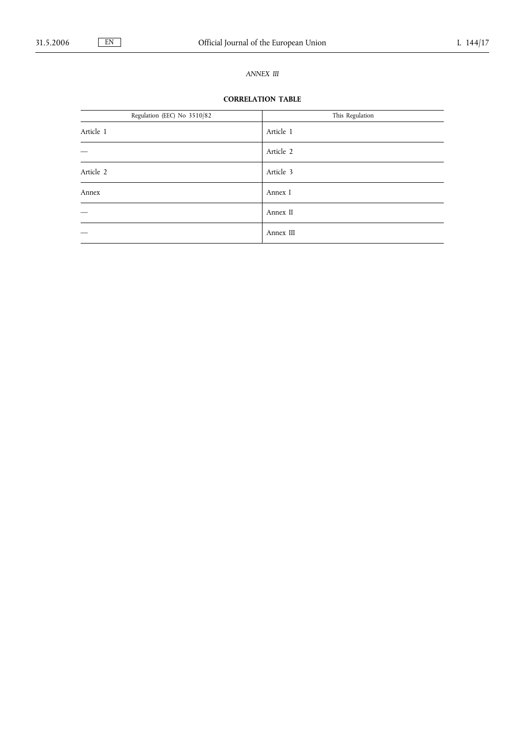# *ANNEX III*

# **CORRELATION TABLE**

| Regulation (EEC) No 3510/82 | This Regulation |
|-----------------------------|-----------------|
| Article 1                   | Article 1       |
|                             | Article 2       |
| Article 2                   | Article 3       |
| Annex                       | Annex I         |
|                             | Annex II        |
|                             | Annex III       |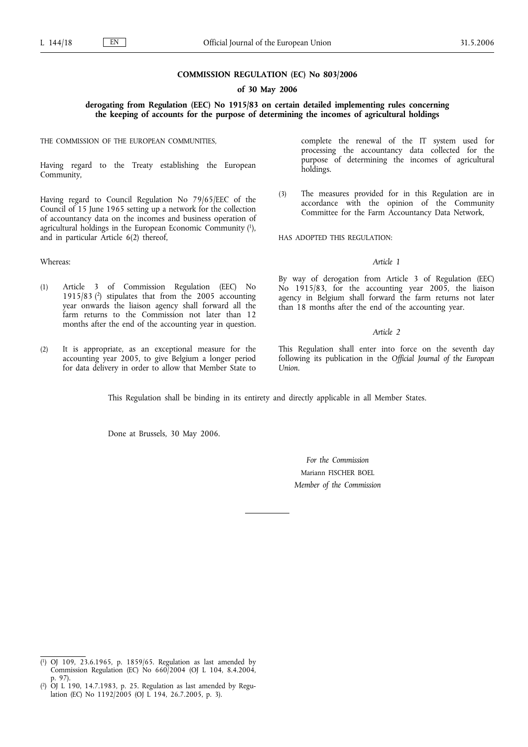#### **COMMISSION REGULATION (EC) No 803/2006**

## **of 30 May 2006**

# **derogating from Regulation (EEC) No 1915/83 on certain detailed implementing rules concerning the keeping of accounts for the purpose of determining the incomes of agricultural holdings**

THE COMMISSION OF THE EUROPEAN COMMUNITIES,

Having regard to the Treaty establishing the European Community,

Having regard to Council Regulation No 79/65/EEC of the Council of 15 June 1965 setting up a network for the collection of accountancy data on the incomes and business operation of agricultural holdings in the European Economic Community (1), and in particular Article 6(2) thereof,

(1) Article 3 of Commission Regulation (EEC) No 1915/83 (2) stipulates that from the 2005 accounting year onwards the liaison agency shall forward all the farm returns to the Commission not later than 12 months after the end of the accounting year in question.

(2) It is appropriate, as an exceptional measure for the accounting year 2005, to give Belgium a longer period for data delivery in order to allow that Member State to

Whereas:

complete the renewal of the IT system used for processing the accountancy data collected for the purpose of determining the incomes of agricultural holdings.

(3) The measures provided for in this Regulation are in accordance with the opinion of the Community Committee for the Farm Accountancy Data Network,

HAS ADOPTED THIS REGULATION:

#### *Article 1*

By way of derogation from Article 3 of Regulation (EEC) No 1915/83, for the accounting year 2005, the liaison agency in Belgium shall forward the farm returns not later than 18 months after the end of the accounting year.

#### *Article 2*

This Regulation shall enter into force on the seventh day following its publication in the *Official Journal of the European Union*.

This Regulation shall be binding in its entirety and directly applicable in all Member States.

Done at Brussels, 30 May 2006.

*For the Commission* Mariann FISCHER BOEL *Member of the Commission*

<sup>(</sup> 1) OJ 109, 23.6.1965, p. 1859/65. Regulation as last amended by Commission Regulation (EC) No 660/2004 (OJ L 104, 8.4.2004, p. 97).

 $(2)$  $\overline{O}$ J L 190, 14.7.1983, p. 25. Regulation as last amended by Regulation (EC) No  $1192/2005$  (OJ L 194, 26.7.2005, p. 3).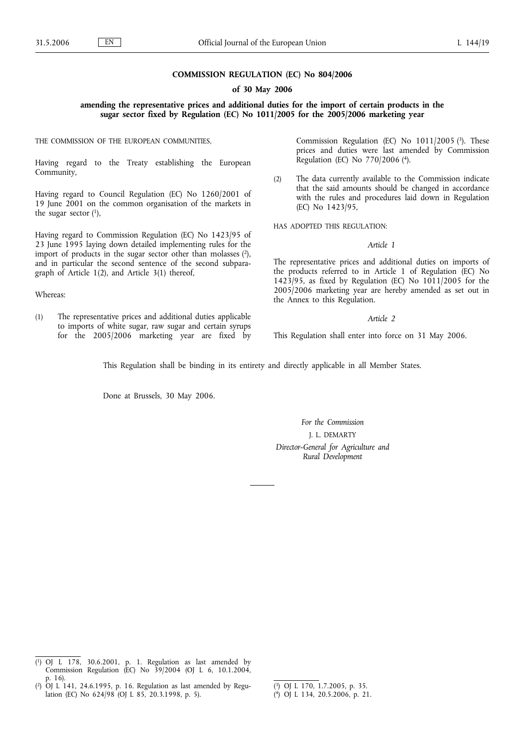## **COMMISSION REGULATION (EC) No 804/2006**

#### **of 30 May 2006**

**amending the representative prices and additional duties for the import of certain products in the sugar sector fixed by Regulation (EC) No 1011/2005 for the 2005/2006 marketing year**

THE COMMISSION OF THE EUROPEAN COMMUNITIES,

Having regard to the Treaty establishing the European Community,

Having regard to Council Regulation (EC) No 1260/2001 of 19 June 2001 on the common organisation of the markets in the sugar sector  $(1)$ ,

Having regard to Commission Regulation (EC) No 1423/95 of 23 June 1995 laying down detailed implementing rules for the import of products in the sugar sector other than molasses (2), and in particular the second sentence of the second subparagraph of Article 1(2), and Article 3(1) thereof,

#### Whereas:

(1) The representative prices and additional duties applicable to imports of white sugar, raw sugar and certain syrups for the 2005/2006 marketing year are fixed by Commission Regulation (EC) No  $1011/2005$  (3). These prices and duties were last amended by Commission Regulation (EC) No 770/2006 (4).

(2) The data currently available to the Commission indicate that the said amounts should be changed in accordance with the rules and procedures laid down in Regulation (EC) No 1423/95,

HAS ADOPTED THIS REGULATION:

#### *Article 1*

The representative prices and additional duties on imports of the products referred to in Article 1 of Regulation (EC) No 1423/95, as fixed by Regulation (EC) No 1011/2005 for the 2005/2006 marketing year are hereby amended as set out in the Annex to this Regulation.

*Article 2*

This Regulation shall enter into force on 31 May 2006.

This Regulation shall be binding in its entirety and directly applicable in all Member States.

Done at Brussels, 30 May 2006.

*For the Commission* J. L. DEMARTY *Director-General for Agriculture and Rural Development*

<sup>(</sup> 1) OJ L 178, 30.6.2001, p. 1. Regulation as last amended by Commission Regulation (EC) No 39/2004 (OJ L 6, 10.1.2004, p. 16).

 $(2)$  $2)$  OJ L 141, 24.6.1995, p. 16. Regulation as last amended by Regulation (EC) No 624/98 (OJ L 85, 20.3.1998, p. 5).

<sup>(</sup> 3) OJ L 170, 1.7.2005, p. 35.

<sup>(</sup> 4) OJ L 134, 20.5.2006, p. 21.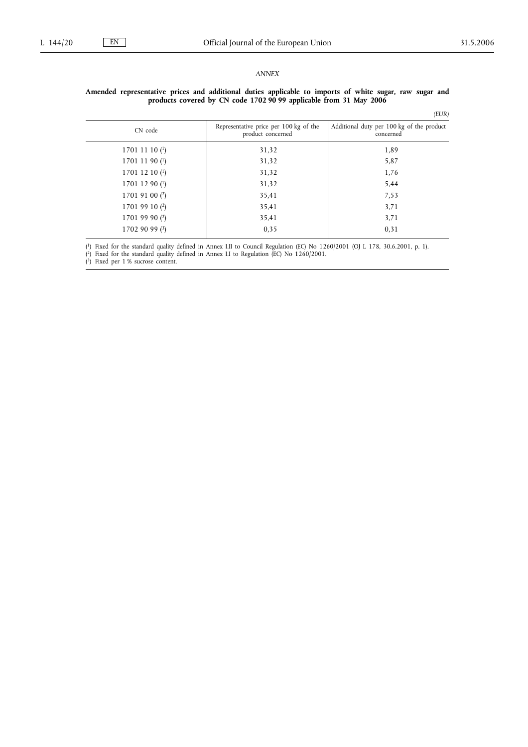$\overline{a}$ 

# *ANNEX*

#### **Amended representative prices and additional duties applicable to imports of white sugar, raw sugar and products covered by CN code 1702 90 99 applicable from 31 May 2006**

|                         |                                                             | (EUR)                                                  |
|-------------------------|-------------------------------------------------------------|--------------------------------------------------------|
| CN code                 | Representative price per 100 kg of the<br>product concerned | Additional duty per 100 kg of the product<br>concerned |
| 17011110 <sup>(1)</sup> | 31,32                                                       | 1,89                                                   |
| 1701 11 90 $(1)$        | 31,32                                                       | 5,87                                                   |
| 1701 12 10 $(1)$        | 31,32                                                       | 1,76                                                   |
| $1701$ 12 90 $(1)$      | 31,32                                                       | 5,44                                                   |
| 1701 91 00 $(2)$        | 35,41                                                       | 7,53                                                   |
| 1701 99 10 $(2)$        | 35,41                                                       | 3,71                                                   |
| 1701 99 90 $(2)$        | 35,41                                                       | 3,71                                                   |
| 1702 90 99 (3)          | 0,35                                                        | 0.31                                                   |
|                         |                                                             |                                                        |

( 1) Fixed for the standard quality defined in Annex I.II to Council Regulation (EC) No 1260/2001 (OJ L 178, 30.6.2001, p. 1).

( 2) Fixed for the standard quality defined in Annex I.I to Regulation (EC) No 1260/2001.

( 3) Fixed per 1 % sucrose content.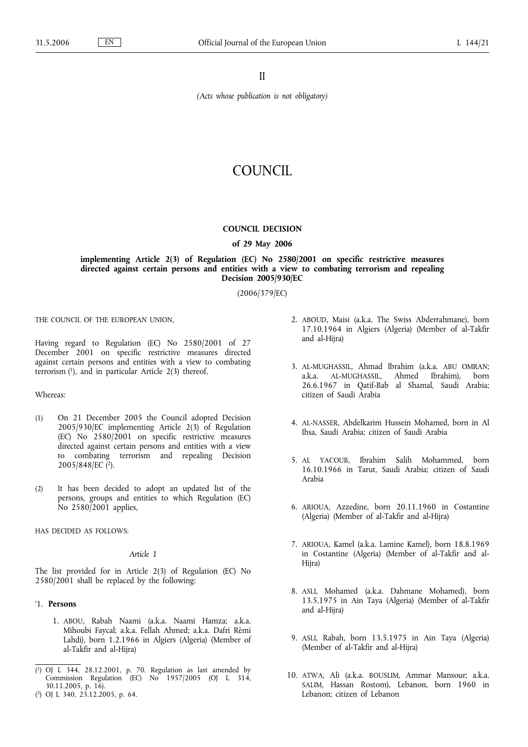II

*(Acts whose publication is not obligatory)*

# **COUNCIL**

## **COUNCIL DECISION**

#### **of 29 May 2006**

# **implementing Article 2(3) of Regulation (EC) No 2580/2001 on specific restrictive measures directed against certain persons and entities with a view to combating terrorism and repealing Decision 2005/930/EC**

(2006/379/EC)

THE COUNCIL OF THE EUROPEAN UNION,

Having regard to Regulation (EC) No 2580/2001 of 27 December 2001 on specific restrictive measures directed against certain persons and entities with a view to combating terrorism (1), and in particular Article 2(3) thereof,

Whereas:

- (1) On 21 December 2005 the Council adopted Decision 2005/930/EC implementing Article 2(3) of Regulation (EC) No 2580/2001 on specific restrictive measures directed against certain persons and entities with a view to combating terrorism and repealing Decision 2005/848/EC (2).
- (2) It has been decided to adopt an updated list of the persons, groups and entities to which Regulation (EC) No 2580/2001 applies,

HAS DECIDED AS FOLLOWS:

#### *Article 1*

The list provided for in Article 2(3) of Regulation (EC) No 2580/2001 shall be replaced by the following:

#### '1. **Persons**

1. ABOU, Rabah Naami (a.k.a. Naami Hamza; a.k.a. Mihoubi Faycal; a.k.a. Fellah Ahmed; a.k.a. Dafri Rèmi Lahdi), born 1.2.1966 in Algiers (Algeria) (Member of al-Takfir and al-Hijra)

- 2. ABOUD, Maisi (a.k.a. The Swiss Abderrahmane), born 17.10.1964 in Algiers (Algeria) (Member of al-Takfir and al-Hijra)
- 3. AL-MUGHASSIL, Ahmad Ibrahim (a.k.a. ABU OMRAN; a.k.a. AL-MUGHASSIL, Ahmed Ibrahim), born 26.6.1967 in Qatif-Bab al Shamal, Saudi Arabia; citizen of Saudi Arabia
- 4. AL-NASSER, Abdelkarim Hussein Mohamed, born in Al Ihsa, Saudi Arabia; citizen of Saudi Arabia
- 5. AL YACOUB, Ibrahim Salih Mohammed, born 16.10.1966 in Tarut, Saudi Arabia; citizen of Saudi Arabia
- 6. ARIOUA, Azzedine, born 20.11.1960 in Costantine (Algeria) (Member of al-Takfir and al-Hijra)
- 7. ARIOUA, Kamel (a.k.a. Lamine Kamel), born 18.8.1969 in Costantine (Algeria) (Member of al-Takfir and al-Hijra)
- 8. ASLI, Mohamed (a.k.a. Dahmane Mohamed), born 13.5.1975 in Ain Taya (Algeria) (Member of al-Takfir and al-Hijra)
- 9. ASLI, Rabah, born 13.5.1975 in Ain Taya (Algeria) (Member of al-Takfir and al-Hijra)
- 10. ATWA, Ali (a.k.a. BOUSLIM, Ammar Mansour; a.k.a. SALIM, Hassan Rostom), Lebanon, born 1960 in Lebanon; citizen of Lebanon

<sup>(</sup> 1) OJ L 344, 28.12.2001, p. 70. Regulation as last amended by Commission Regulation (EC) No  $1957/2005$  (OJ L 314, 30.11.2005, p. 16).

<sup>(</sup> 2) OJ L 340, 23.12.2005, p. 64.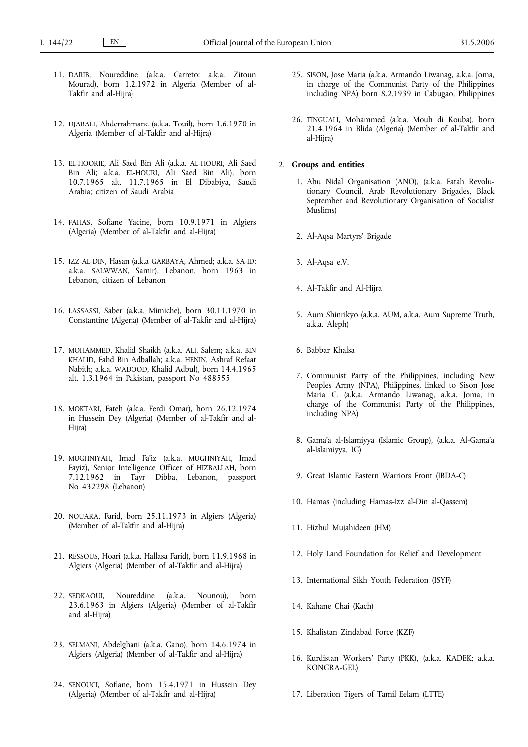- 11. DARIB, Noureddine (a.k.a. Carreto; a.k.a. Zitoun Mourad), born 1.2.1972 in Algeria (Member of al-Takfir and al-Hijra)
- 12. DJABALI, Abderrahmane (a.k.a. Touil), born 1.6.1970 in Algeria (Member of al-Takfir and al-Hijra)
- 13. EL-HOORIE, Ali Saed Bin Ali (a.k.a. AL-HOURI, Ali Saed Bin Ali; a.k.a. EL-HOURI, Ali Saed Bin Ali), born 10.7.1965 alt. 11.7.1965 in El Dibabiya, Saudi Arabia; citizen of Saudi Arabia
- 14. FAHAS, Sofiane Yacine, born 10.9.1971 in Algiers (Algeria) (Member of al-Takfir and al-Hijra)
- 15. IZZ-AL-DIN, Hasan (a.k.a GARBAYA, Ahmed; a.k.a. SA-ID; a.k.a. SALWWAN, Samir), Lebanon, born 1963 in Lebanon, citizen of Lebanon
- 16. LASSASSI, Saber (a.k.a. Mimiche), born 30.11.1970 in Constantine (Algeria) (Member of al-Takfir and al-Hijra)
- 17. MOHAMMED, Khalid Shaikh (a.k.a. ALI, Salem; a.k.a. BIN KHALID, Fahd Bin Adballah; a.k.a. HENIN, Ashraf Refaat Nabith; a.k.a. WADOOD, Khalid Adbul), born 14.4.1965 alt. 1.3.1964 in Pakistan, passport No 488555
- 18. MOKTARI, Fateh (a.k.a. Ferdi Omar), born 26.12.1974 in Hussein Dey (Algeria) (Member of al-Takfir and al-Hijra)
- 19. MUGHNIYAH, Imad Fa'iz (a.k.a. MUGHNIYAH, Imad Fayiz), Senior Intelligence Officer of HIZBALLAH, born 7.12.1962 in Tayr Dibba, Lebanon, passport No 432298 (Lebanon)
- 20. NOUARA, Farid, born 25.11.1973 in Algiers (Algeria) (Member of al-Takfir and al-Hijra)
- 21. RESSOUS, Hoari (a.k.a. Hallasa Farid), born 11.9.1968 in Algiers (Algeria) (Member of al-Takfir and al-Hijra)
- 22. SEDKAOUI, Noureddine (a.k.a. Nounou), born 23.6.1963 in Algiers (Algeria) (Member of al-Takfir and al-Hijra)
- 23. SELMANI, Abdelghani (a.k.a. Gano), born 14.6.1974 in Algiers (Algeria) (Member of al-Takfir and al-Hijra)
- 24. SENOUCI, Sofiane, born 15.4.1971 in Hussein Dey (Algeria) (Member of al-Takfir and al-Hijra)
- 25. SISON, Jose Maria (a.k.a. Armando Liwanag, a.k.a. Joma, in charge of the Communist Party of the Philippines including NPA) born 8.2.1939 in Cabugao, Philippines
- 26. TINGUALI, Mohammed (a.k.a. Mouh di Kouba), born 21.4.1964 in Blida (Algeria) (Member of al-Takfir and al-Hijra)

#### 2. **Groups and entities**

- 1. Abu Nidal Organisation (ANO), (a.k.a. Fatah Revolutionary Council, Arab Revolutionary Brigades, Black September and Revolutionary Organisation of Socialist Muslims)
- 2. Al-Aqsa Martyrs' Brigade
- 3. Al-Aqsa e.V.
- 4. Al-Takfir and Al-Hijra
- 5. Aum Shinrikyo (a.k.a. AUM, a.k.a. Aum Supreme Truth, a.k.a. Aleph)
- 6. Babbar Khalsa
- 7. Communist Party of the Philippines, including New Peoples Army (NPA), Philippines, linked to Sison Jose Maria C. (a.k.a. Armando Liwanag, a.k.a. Joma, in charge of the Communist Party of the Philippines, including NPA)
- 8. Gama'a al-Islamiyya (Islamic Group), (a.k.a. Al-Gama'a al-Islamiyya, IG)
- 9. Great Islamic Eastern Warriors Front (IBDA-C)
- 10. Hamas (including Hamas-Izz al-Din al-Qassem)
- 11. Hizbul Mujahideen (HM)
- 12. Holy Land Foundation for Relief and Development
- 13. International Sikh Youth Federation (ISYF)
- 14. Kahane Chai (Kach)
- 15. Khalistan Zindabad Force (KZF)
- 16. Kurdistan Workers' Party (PKK), (a.k.a. KADEK; a.k.a. KONGRA-GEL)
- 17. Liberation Tigers of Tamil Eelam (LTTE)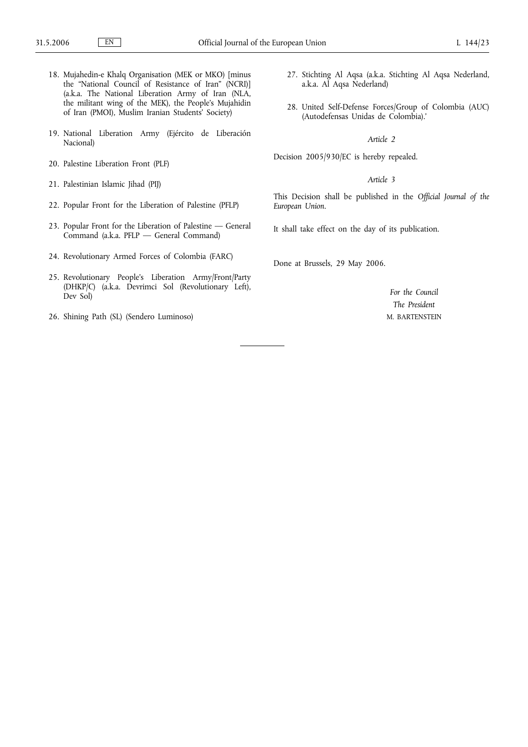- 18. Mujahedin-e Khalq Organisation (MEK or MKO) [minus the "National Council of Resistance of Iran" (NCRI)] (a.k.a. The National Liberation Army of Iran (NLA, the militant wing of the MEK), the People's Mujahidin of Iran (PMOI), Muslim Iranian Students' Society)
- 19. National Liberation Army (Ejército de Liberación Nacional)
- 20. Palestine Liberation Front (PLF)
- 21. Palestinian Islamic Jihad (PIJ)
- 22. Popular Front for the Liberation of Palestine (PFLP)
- 23. Popular Front for the Liberation of Palestine General Command (a.k.a. PFLP — General Command)
- 24. Revolutionary Armed Forces of Colombia (FARC)
- 25. Revolutionary People's Liberation Army/Front/Party (DHKP/C) (a.k.a. Devrimci Sol (Revolutionary Left), Dev Sol)
- 26. Shining Path (SL) (Sendero Luminoso)
- 27. Stichting Al Aqsa (a.k.a. Stichting Al Aqsa Nederland, a.k.a. Al Aqsa Nederland)
- 28. United Self-Defense Forces/Group of Colombia (AUC) (Autodefensas Unidas de Colombia).'

*Article 2*

Decision 2005/930/EC is hereby repealed.

*Article 3*

This Decision shall be published in the *Official Journal of the European Union*.

It shall take effect on the day of its publication.

Done at Brussels, 29 May 2006.

*For the Council The President* M. BARTENSTEIN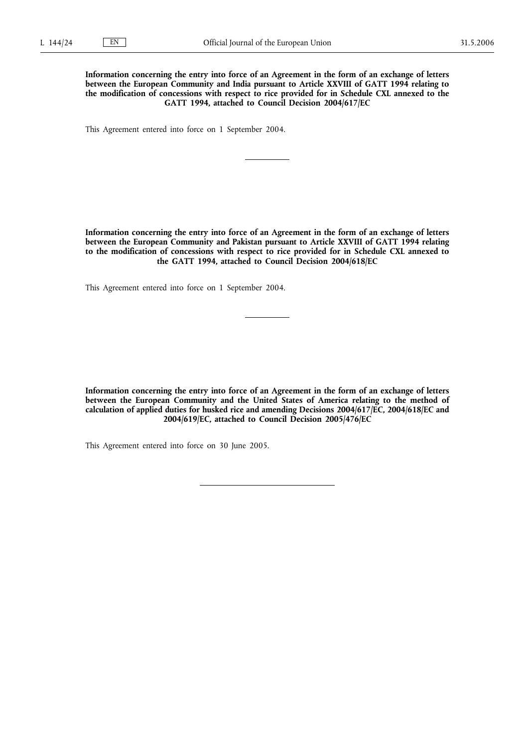**Information concerning the entry into force of an Agreement in the form of an exchange of letters between the European Community and India pursuant to Article XXVIII of GATT 1994 relating to the modification of concessions with respect to rice provided for in Schedule CXL annexed to the GATT 1994, attached to Council Decision 2004/617/EC**

This Agreement entered into force on 1 September 2004.

**Information concerning the entry into force of an Agreement in the form of an exchange of letters between the European Community and Pakistan pursuant to Article XXVIII of GATT 1994 relating to the modification of concessions with respect to rice provided for in Schedule CXL annexed to the GATT 1994, attached to Council Decision 2004/618/EC**

This Agreement entered into force on 1 September 2004.

**Information concerning the entry into force of an Agreement in the form of an exchange of letters between the European Community and the United States of America relating to the method of calculation of applied duties for husked rice and amending Decisions 2004/617/EC, 2004/618/EC and 2004/619/EC, attached to Council Decision 2005/476/EC**

This Agreement entered into force on 30 June 2005.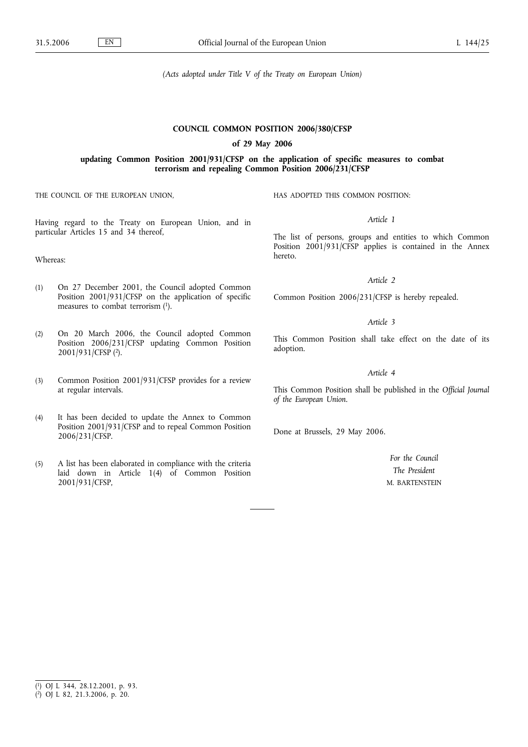*(Acts adopted under Title V of the Treaty on European Union)*

# **COUNCIL COMMON POSITION 2006/380/CFSP**

**of 29 May 2006**

# **updating Common Position 2001/931/CFSP on the application of specific measures to combat terrorism and repealing Common Position 2006/231/CFSP**

THE COUNCIL OF THE EUROPEAN UNION,

Having regard to the Treaty on European Union, and in particular Articles 15 and 34 thereof,

Whereas:

- (1) On 27 December 2001, the Council adopted Common Position 2001/931/CFSP on the application of specific measures to combat terrorism (1).
- (2) On 20 March 2006, the Council adopted Common Position 2006/231/CFSP updating Common Position 2001/931/CFSP (2).
- (3) Common Position 2001/931/CFSP provides for a review at regular intervals.
- (4) It has been decided to update the Annex to Common Position 2001/931/CFSP and to repeal Common Position 2006/231/CFSP.
- (5) A list has been elaborated in compliance with the criteria laid down in Article 1(4) of Common Position 2001/931/CFSP,

HAS ADOPTED THIS COMMON POSITION:

*Article 1*

The list of persons, groups and entities to which Common Position 2001/931/CFSP applies is contained in the Annex hereto.

*Article 2*

Common Position 2006/231/CFSP is hereby repealed.

## *Article 3*

This Common Position shall take effect on the date of its adoption.

# *Article 4*

This Common Position shall be published in the *Official Journal of the European Union*.

Done at Brussels, 29 May 2006.

*For the Council The President* M. BARTENSTEIN

<sup>(</sup> 1) OJ L 344, 28.12.2001, p. 93.

<sup>(</sup> 2) OJ L 82, 21.3.2006, p. 20.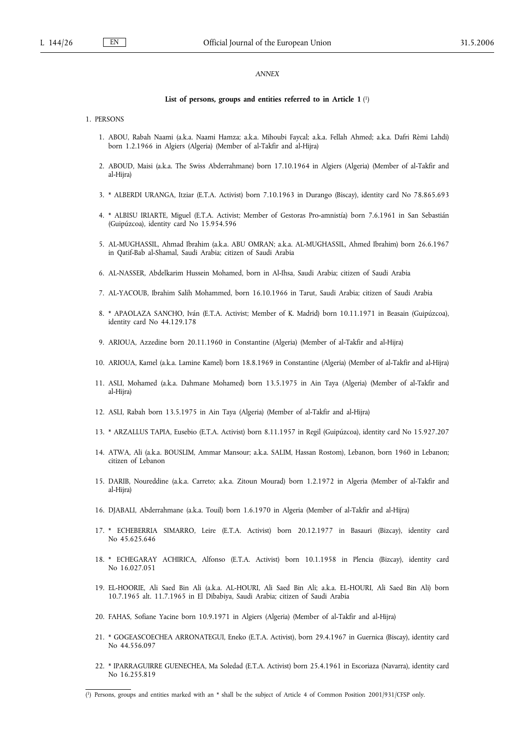#### *ANNEX*

#### **List of persons, groups and entities referred to in Article 1** ( 1)

#### 1. PERSONS

- 1. ABOU, Rabah Naami (a.k.a. Naami Hamza; a.k.a. Mihoubi Faycal; a.k.a. Fellah Ahmed; a.k.a. Dafri Rèmi Lahdi) born 1.2.1966 in Algiers (Algeria) (Member of al-Takfir and al-Hijra)
- 2. ABOUD, Maisi (a.k.a. The Swiss Abderrahmane) born 17.10.1964 in Algiers (Algeria) (Member of al-Takfir and al-Hiira)
- 3. \* ALBERDI URANGA, Itziar (E.T.A. Activist) born 7.10.1963 in Durango (Biscay), identity card No 78.865.693
- 4. \* ALBISU IRIARTE, Miguel (E.T.A. Activist; Member of Gestoras Pro-amnistía) born 7.6.1961 in San Sebastián (Guipúzcoa), identity card No 15.954.596
- 5. AL-MUGHASSIL, Ahmad Ibrahim (a.k.a. ABU OMRAN; a.k.a. AL-MUGHASSIL, Ahmed Ibrahim) born 26.6.1967 in Qatif-Bab al-Shamal, Saudi Arabia; citizen of Saudi Arabia
- 6. AL-NASSER, Abdelkarim Hussein Mohamed, born in Al-Ihsa, Saudi Arabia; citizen of Saudi Arabia
- 7. AL-YACOUB, Ibrahim Salih Mohammed, born 16.10.1966 in Tarut, Saudi Arabia; citizen of Saudi Arabia
- 8. \* APAOLAZA SANCHO, Iván (E.T.A. Activist; Member of K. Madrid) born 10.11.1971 in Beasain (Guipúzcoa), identity card No 44.129.178
- 9. ARIOUA, Azzedine born 20.11.1960 in Constantine (Algeria) (Member of al-Takfir and al-Hijra)
- 10. ARIOUA, Kamel (a.k.a. Lamine Kamel) born 18.8.1969 in Constantine (Algeria) (Member of al-Takfir and al-Hijra)
- 11. ASLI, Mohamed (a.k.a. Dahmane Mohamed) born 13.5.1975 in Ain Taya (Algeria) (Member of al-Takfir and al-Hijra)
- 12. ASLI, Rabah born 13.5.1975 in Ain Taya (Algeria) (Member of al-Takfir and al-Hijra)
- 13. \* ARZALLUS TAPIA, Eusebio (E.T.A. Activist) born 8.11.1957 in Regil (Guipúzcoa), identity card No 15.927.207
- 14. ATWA, Ali (a.k.a. BOUSLIM, Ammar Mansour; a.k.a. SALIM, Hassan Rostom), Lebanon, born 1960 in Lebanon; citizen of Lebanon
- 15. DARIB, Noureddine (a.k.a. Carreto; a.k.a. Zitoun Mourad) born 1.2.1972 in Algeria (Member of al-Takfir and al-Hijra)
- 16. DJABALI, Abderrahmane (a.k.a. Touil) born 1.6.1970 in Algeria (Member of al-Takfir and al-Hijra)
- 17. \* ECHEBERRIA SIMARRO, Leire (E.T.A. Activist) born 20.12.1977 in Basauri (Bizcay), identity card No 45.625.646
- 18. \* ECHEGARAY ACHIRICA, Alfonso (E.T.A. Activist) born 10.1.1958 in Plencia (Bizcay), identity card No 16.027.051
- 19. EL-HOORIE, Ali Saed Bin Ali (a.k.a. AL-HOURI, Ali Saed Bin Ali; a.k.a. EL-HOURI, Ali Saed Bin Ali) born 10.7.1965 alt. 11.7.1965 in El Dibabiya, Saudi Arabia; citizen of Saudi Arabia
- 20. FAHAS, Sofiane Yacine born 10.9.1971 in Algiers (Algeria) (Member of al-Takfir and al-Hijra)
- 21. \* GOGEASCOECHEA ARRONATEGUI, Eneko (E.T.A. Activist), born 29.4.1967 in Guernica (Biscay), identity card No 44.556.097
- 22. \* IPARRAGUIRRE GUENECHEA, Ma Soledad (E.T.A. Activist) born 25.4.1961 in Escoriaza (Navarra), identity card No 16.255.819

<sup>(</sup> 1) Persons, groups and entities marked with an \* shall be the subject of Article 4 of Common Position 2001/931/CFSP only.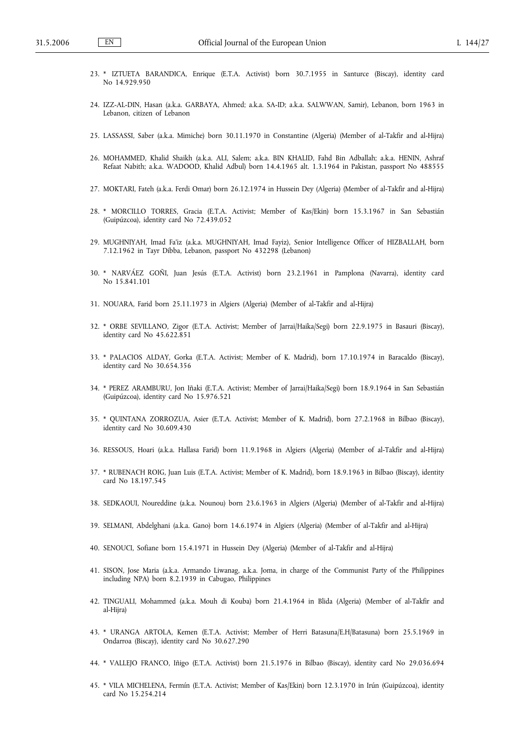- 23. \* IZTUETA BARANDICA, Enrique (E.T.A. Activist) born 30.7.1955 in Santurce (Biscay), identity card No 14.929.950
- 24. IZZ-AL-DIN, Hasan (a.k.a. GARBAYA, Ahmed; a.k.a. SA-ID; a.k.a. SALWWAN, Samir), Lebanon, born 1963 in Lebanon, citizen of Lebanon
- 25. LASSASSI, Saber (a.k.a. Mimiche) born 30.11.1970 in Constantine (Algeria) (Member of al-Takfir and al-Hijra)
- 26. MOHAMMED, Khalid Shaikh (a.k.a. ALI, Salem; a.k.a. BIN KHALID, Fahd Bin Adballah; a.k.a. HENIN, Ashraf Refaat Nabith; a.k.a. WADOOD, Khalid Adbul) born 14.4.1965 alt. 1.3.1964 in Pakistan, passport No 488555
- 27. MOKTARI, Fateh (a.k.a. Ferdi Omar) born 26.12.1974 in Hussein Dey (Algeria) (Member of al-Takfir and al-Hijra)
- 28. \* MORCILLO TORRES, Gracia (E.T.A. Activist; Member of Kas/Ekin) born 15.3.1967 in San Sebastián (Guipúzcoa), identity card No 72.439.052
- 29. MUGHNIYAH, Imad Fa'iz (a.k.a. MUGHNIYAH, Imad Fayiz), Senior Intelligence Officer of HIZBALLAH, born 7.12.1962 in Tayr Dibba, Lebanon, passport No 432298 (Lebanon)
- 30. \* NARVÁEZ GOÑI, Juan Jesús (E.T.A. Activist) born 23.2.1961 in Pamplona (Navarra), identity card No 15.841.101
- 31. NOUARA, Farid born 25.11.1973 in Algiers (Algeria) (Member of al-Takfir and al-Hijra)
- 32. \* ORBE SEVILLANO, Zigor (E.T.A. Activist; Member of Jarrai/Haika/Segi) born 22.9.1975 in Basauri (Biscay), identity card No 45.622.851
- 33. \* PALACIOS ALDAY, Gorka (E.T.A. Activist; Member of K. Madrid), born 17.10.1974 in Baracaldo (Biscay), identity card No 30.654.356
- 34. \* PEREZ ARAMBURU, Jon Iñaki (E.T.A. Activist; Member of Jarrai/Haika/Segi) born 18.9.1964 in San Sebastián (Guipúzcoa), identity card No 15.976.521
- 35. \* QUINTANA ZORROZUA, Asier (E.T.A. Activist; Member of K. Madrid), born 27.2.1968 in Bilbao (Biscay), identity card No 30.609.430
- 36. RESSOUS, Hoari (a.k.a. Hallasa Farid) born 11.9.1968 in Algiers (Algeria) (Member of al-Takfir and al-Hijra)
- 37. \* RUBENACH ROIG, Juan Luis (E.T.A. Activist; Member of K. Madrid), born 18.9.1963 in Bilbao (Biscay), identity card No 18.197.545
- 38. SEDKAOUI, Noureddine (a.k.a. Nounou) born 23.6.1963 in Algiers (Algeria) (Member of al-Takfir and al-Hijra)
- 39. SELMANI, Abdelghani (a.k.a. Gano) born 14.6.1974 in Algiers (Algeria) (Member of al-Takfir and al-Hijra)
- 40. SENOUCI, Sofiane born 15.4.1971 in Hussein Dey (Algeria) (Member of al-Takfir and al-Hijra)
- 41. SISON, Jose Maria (a.k.a. Armando Liwanag, a.k.a. Joma, in charge of the Communist Party of the Philippines including NPA) born 8.2.1939 in Cabugao, Philippines
- 42. TINGUALI, Mohammed (a.k.a. Mouh di Kouba) born 21.4.1964 in Blida (Algeria) (Member of al-Takfir and al-Hijra)
- 43. \* URANGA ARTOLA, Kemen (E.T.A. Activist; Member of Herri Batasuna/E.H/Batasuna) born 25.5.1969 in Ondarroa (Biscay), identity card No 30.627.290
- 44. \* VALLEJO FRANCO, Iñigo (E.T.A. Activist) born 21.5.1976 in Bilbao (Biscay), identity card No 29.036.694
- 45. \* VILA MICHELENA, Fermín (E.T.A. Activist; Member of Kas/Ekin) born 12.3.1970 in Irún (Guipúzcoa), identity card No 15.254.214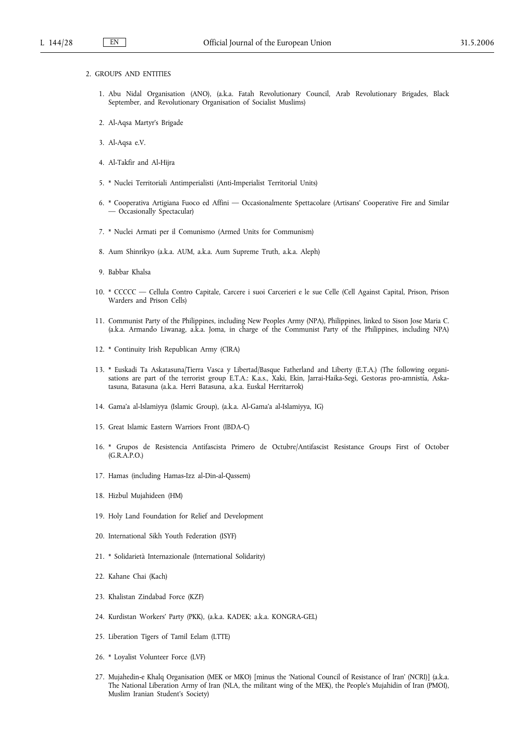#### 2. GROUPS AND ENTITIES

- 1. Abu Nidal Organisation (ANO), (a.k.a. Fatah Revolutionary Council, Arab Revolutionary Brigades, Black September, and Revolutionary Organisation of Socialist Muslims)
- 2. Al-Aqsa Martyr's Brigade
- 3. Al-Aqsa e.V.
- 4. Al-Takfir and Al-Hijra
- 5. \* Nuclei Territoriali Antimperialisti (Anti-Imperialist Territorial Units)
- 6. \* Cooperativa Artigiana Fuoco ed Affini Occasionalmente Spettacolare (Artisans' Cooperative Fire and Similar — Occasionally Spectacular)
- 7. \* Nuclei Armati per il Comunismo (Armed Units for Communism)
- 8. Aum Shinrikyo (a.k.a. AUM, a.k.a. Aum Supreme Truth, a.k.a. Aleph)
- 9. Babbar Khalsa
- 10. \* CCCCC Cellula Contro Capitale, Carcere i suoi Carcerieri e le sue Celle (Cell Against Capital, Prison, Prison Warders and Prison Cells)
- 11. Communist Party of the Philippines, including New Peoples Army (NPA), Philippines, linked to Sison Jose Maria C. (a.k.a. Armando Liwanag, a.k.a. Joma, in charge of the Communist Party of the Philippines, including NPA)
- 12. \* Continuity Irish Republican Army (CIRA)
- 13. \* Euskadi Ta Askatasuna/Tierra Vasca y Libertad/Basque Fatherland and Liberty (E.T.A.) (The following organisations are part of the terrorist group E.T.A.: K.a.s., Xaki, Ekin, Jarrai-Haika-Segi, Gestoras pro-amnistía, Askatasuna, Batasuna (a.k.a. Herri Batasuna, a.k.a. Euskal Herritarrok)
- 14. Gama'a al-Islamiyya (Islamic Group), (a.k.a. Al-Gama'a al-Islamiyya, IG)
- 15. Great Islamic Eastern Warriors Front (IBDA-C)
- 16. \* Grupos de Resistencia Antifascista Primero de Octubre/Antifascist Resistance Groups First of October (G.R.A.P.O.)
- 17. Hamas (including Hamas-Izz al-Din-al-Qassem)
- 18. Hizbul Mujahideen (HM)
- 19. Holy Land Foundation for Relief and Development
- 20. International Sikh Youth Federation (ISYF)
- 21. \* Solidarietà Internazionale (International Solidarity)
- 22. Kahane Chai (Kach)
- 23. Khalistan Zindabad Force (KZF)
- 24. Kurdistan Workers' Party (PKK), (a.k.a. KADEK; a.k.a. KONGRA-GEL)
- 25. Liberation Tigers of Tamil Eelam (LTTE)
- 26. \* Loyalist Volunteer Force (LVF)
- 27. Mujahedin-e Khalq Organisation (MEK or MKO) [minus the 'National Council of Resistance of Iran' (NCRI)] (a.k.a. The National Liberation Army of Iran (NLA, the militant wing of the MEK), the People's Mujahidin of Iran (PMOI), Muslim Iranian Student's Society)